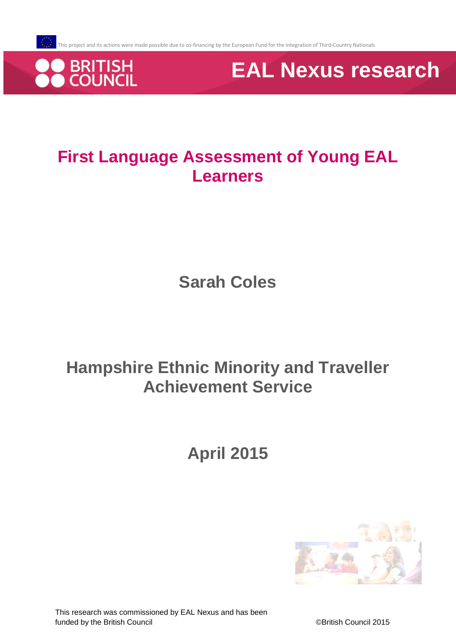

**EAL Nexus research**

# **First Language Assessment of Young EAL Learners**

**Sarah Coles**

# **Hampshire Ethnic Minority and Traveller Achievement Service**

**April 2015**

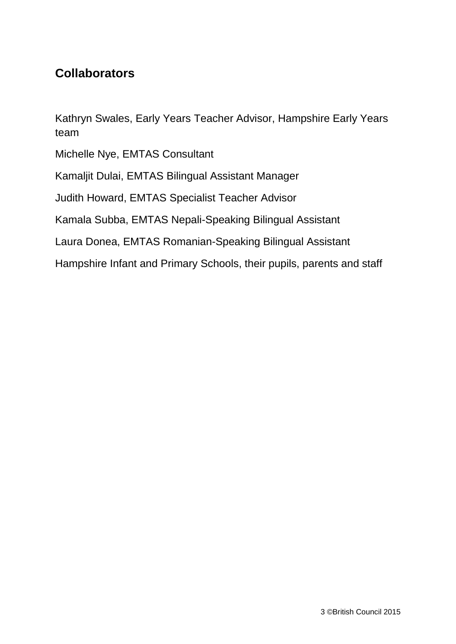## **Collaborators**

Kathryn Swales, Early Years Teacher Advisor, Hampshire Early Years team

Michelle Nye, EMTAS Consultant

Kamaljit Dulai, EMTAS Bilingual Assistant Manager

Judith Howard, EMTAS Specialist Teacher Advisor

Kamala Subba, EMTAS Nepali-Speaking Bilingual Assistant

Laura Donea, EMTAS Romanian-Speaking Bilingual Assistant

Hampshire Infant and Primary Schools, their pupils, parents and staff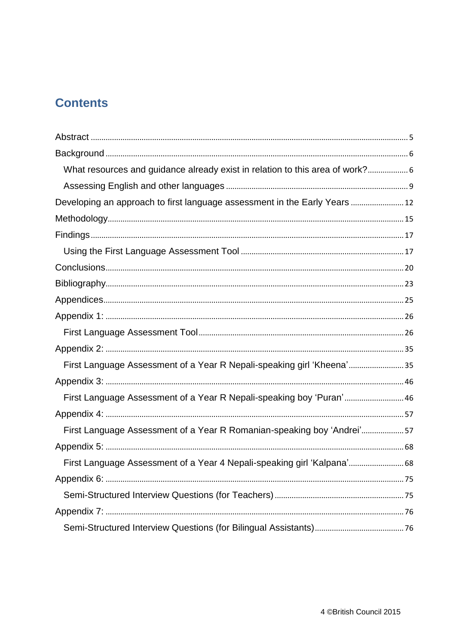# **Contents**

| What resources and guidance already exist in relation to this area of work? 6 |  |
|-------------------------------------------------------------------------------|--|
|                                                                               |  |
| Developing an approach to first language assessment in the Early Years  12    |  |
|                                                                               |  |
|                                                                               |  |
|                                                                               |  |
|                                                                               |  |
|                                                                               |  |
|                                                                               |  |
|                                                                               |  |
|                                                                               |  |
|                                                                               |  |
| First Language Assessment of a Year R Nepali-speaking girl 'Kheena'35         |  |
|                                                                               |  |
| First Language Assessment of a Year R Nepali-speaking boy 'Puran' 46          |  |
|                                                                               |  |
| First Language Assessment of a Year R Romanian-speaking boy 'Andrei'57        |  |
|                                                                               |  |
| First Language Assessment of a Year 4 Nepali-speaking girl 'Kalpana' 68       |  |
|                                                                               |  |
|                                                                               |  |
|                                                                               |  |
|                                                                               |  |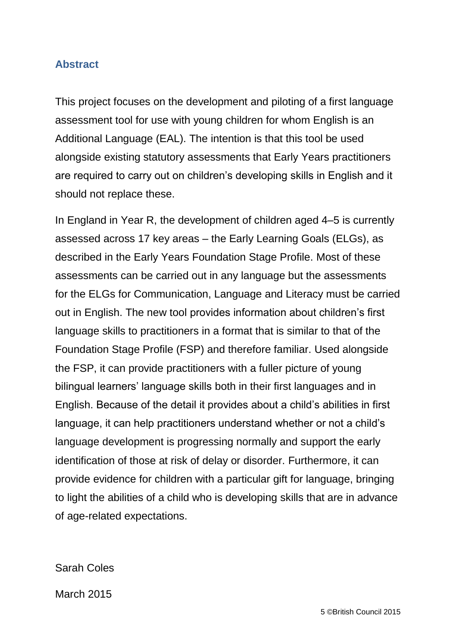#### <span id="page-3-0"></span>**Abstract**

This project focuses on the development and piloting of a first language assessment tool for use with young children for whom English is an Additional Language (EAL). The intention is that this tool be used alongside existing statutory assessments that Early Years practitioners are required to carry out on children's developing skills in English and it should not replace these.

In England in Year R, the development of children aged 4–5 is currently assessed across 17 key areas – the Early Learning Goals (ELGs), as described in the Early Years Foundation Stage Profile. Most of these assessments can be carried out in any language but the assessments for the ELGs for Communication, Language and Literacy must be carried out in English. The new tool provides information about children's first language skills to practitioners in a format that is similar to that of the Foundation Stage Profile (FSP) and therefore familiar. Used alongside the FSP, it can provide practitioners with a fuller picture of young bilingual learners' language skills both in their first languages and in English. Because of the detail it provides about a child's abilities in first language, it can help practitioners understand whether or not a child's language development is progressing normally and support the early identification of those at risk of delay or disorder. Furthermore, it can provide evidence for children with a particular gift for language, bringing to light the abilities of a child who is developing skills that are in advance of age-related expectations.

Sarah Coles

March 2015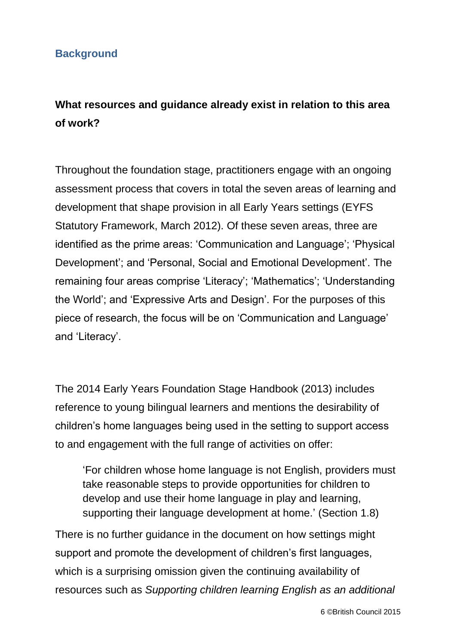#### <span id="page-4-0"></span>**Background**

# <span id="page-4-1"></span>**What resources and guidance already exist in relation to this area of work?**

Throughout the foundation stage, practitioners engage with an ongoing assessment process that covers in total the seven areas of learning and development that shape provision in all Early Years settings (EYFS Statutory Framework, March 2012). Of these seven areas, three are identified as the prime areas: 'Communication and Language'; 'Physical Development'; and 'Personal, Social and Emotional Development'. The remaining four areas comprise 'Literacy'; 'Mathematics'; 'Understanding the World'; and 'Expressive Arts and Design'. For the purposes of this piece of research, the focus will be on 'Communication and Language' and 'Literacy'.

The 2014 Early Years Foundation Stage Handbook (2013) includes reference to young bilingual learners and mentions the desirability of children's home languages being used in the setting to support access to and engagement with the full range of activities on offer:

'For children whose home language is not English, providers must take reasonable steps to provide opportunities for children to develop and use their home language in play and learning, supporting their language development at home.' (Section 1.8)

There is no further guidance in the document on how settings might support and promote the development of children's first languages, which is a surprising omission given the continuing availability of resources such as *Supporting children learning English as an additional*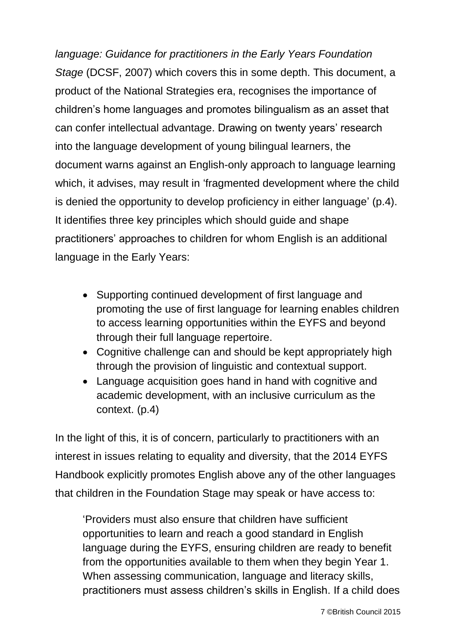*language: Guidance for practitioners in the Early Years Foundation Stage* (DCSF, 2007) which covers this in some depth. This document, a product of the National Strategies era, recognises the importance of children's home languages and promotes bilingualism as an asset that can confer intellectual advantage. Drawing on twenty years' research into the language development of young bilingual learners, the document warns against an English-only approach to language learning which, it advises, may result in 'fragmented development where the child is denied the opportunity to develop proficiency in either language' (p.4). It identifies three key principles which should guide and shape practitioners' approaches to children for whom English is an additional language in the Early Years:

- Supporting continued development of first language and promoting the use of first language for learning enables children to access learning opportunities within the EYFS and beyond through their full language repertoire.
- Cognitive challenge can and should be kept appropriately high through the provision of linguistic and contextual support.
- Language acquisition goes hand in hand with cognitive and academic development, with an inclusive curriculum as the context. (p.4)

In the light of this, it is of concern, particularly to practitioners with an interest in issues relating to equality and diversity, that the 2014 EYFS Handbook explicitly promotes English above any of the other languages that children in the Foundation Stage may speak or have access to:

'Providers must also ensure that children have sufficient opportunities to learn and reach a good standard in English language during the EYFS, ensuring children are ready to benefit from the opportunities available to them when they begin Year 1. When assessing communication, language and literacy skills, practitioners must assess children's skills in English. If a child does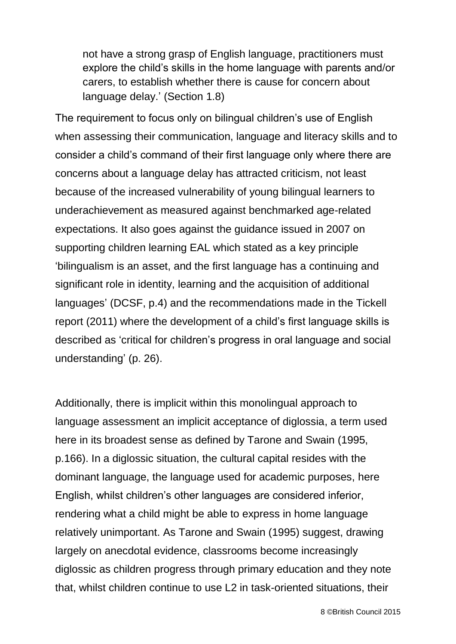not have a strong grasp of English language, practitioners must explore the child's skills in the home language with parents and/or carers, to establish whether there is cause for concern about language delay.' (Section 1.8)

The requirement to focus only on bilingual children's use of English when assessing their communication, language and literacy skills and to consider a child's command of their first language only where there are concerns about a language delay has attracted criticism, not least because of the increased vulnerability of young bilingual learners to underachievement as measured against benchmarked age-related expectations. It also goes against the guidance issued in 2007 on supporting children learning EAL which stated as a key principle 'bilingualism is an asset, and the first language has a continuing and significant role in identity, learning and the acquisition of additional languages' (DCSF, p.4) and the recommendations made in the Tickell report (2011) where the development of a child's first language skills is described as 'critical for children's progress in oral language and social understanding' (p. 26).

Additionally, there is implicit within this monolingual approach to language assessment an implicit acceptance of diglossia, a term used here in its broadest sense as defined by Tarone and Swain (1995, p.166). In a diglossic situation, the cultural capital resides with the dominant language, the language used for academic purposes, here English, whilst children's other languages are considered inferior, rendering what a child might be able to express in home language relatively unimportant. As Tarone and Swain (1995) suggest, drawing largely on anecdotal evidence, classrooms become increasingly diglossic as children progress through primary education and they note that, whilst children continue to use L2 in task-oriented situations, their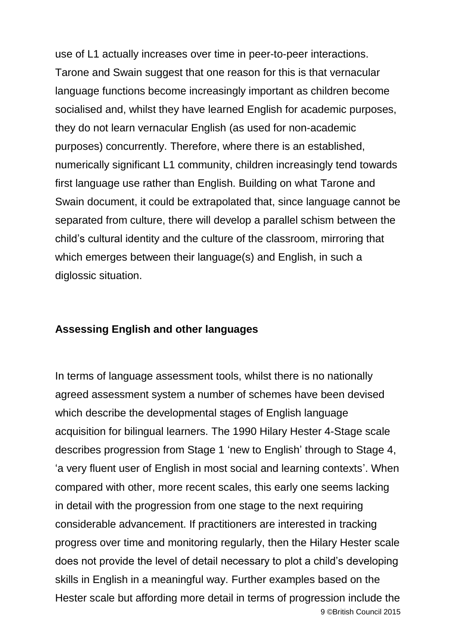use of L1 actually increases over time in peer-to-peer interactions. Tarone and Swain suggest that one reason for this is that vernacular language functions become increasingly important as children become socialised and, whilst they have learned English for academic purposes, they do not learn vernacular English (as used for non-academic purposes) concurrently. Therefore, where there is an established, numerically significant L1 community, children increasingly tend towards first language use rather than English. Building on what Tarone and Swain document, it could be extrapolated that, since language cannot be separated from culture, there will develop a parallel schism between the child's cultural identity and the culture of the classroom, mirroring that which emerges between their language(s) and English, in such a diglossic situation.

#### <span id="page-7-0"></span>**Assessing English and other languages**

9 ©British Council 2015 In terms of language assessment tools, whilst there is no nationally agreed assessment system a number of schemes have been devised which describe the developmental stages of English language acquisition for bilingual learners. The 1990 Hilary Hester 4-Stage scale describes progression from Stage 1 'new to English' through to Stage 4, 'a very fluent user of English in most social and learning contexts'. When compared with other, more recent scales, this early one seems lacking in detail with the progression from one stage to the next requiring considerable advancement. If practitioners are interested in tracking progress over time and monitoring regularly, then the Hilary Hester scale does not provide the level of detail necessary to plot a child's developing skills in English in a meaningful way. Further examples based on the Hester scale but affording more detail in terms of progression include the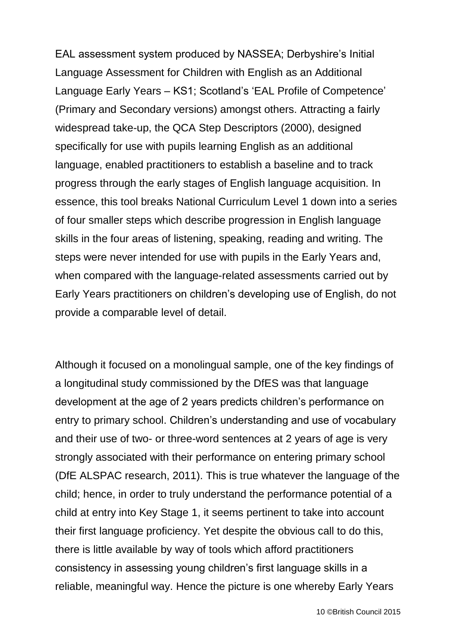EAL assessment system produced by NASSEA; Derbyshire's Initial Language Assessment for Children with English as an Additional Language Early Years – KS1; Scotland's 'EAL Profile of Competence' (Primary and Secondary versions) amongst others. Attracting a fairly widespread take-up, the QCA Step Descriptors (2000), designed specifically for use with pupils learning English as an additional language, enabled practitioners to establish a baseline and to track progress through the early stages of English language acquisition. In essence, this tool breaks National Curriculum Level 1 down into a series of four smaller steps which describe progression in English language skills in the four areas of listening, speaking, reading and writing. The steps were never intended for use with pupils in the Early Years and, when compared with the language-related assessments carried out by Early Years practitioners on children's developing use of English, do not provide a comparable level of detail.

Although it focused on a monolingual sample, one of the key findings of a longitudinal study commissioned by the DfES was that language development at the age of 2 years predicts children's performance on entry to primary school. Children's understanding and use of vocabulary and their use of two- or three-word sentences at 2 years of age is very strongly associated with their performance on entering primary school (DfE ALSPAC research, 2011). This is true whatever the language of the child; hence, in order to truly understand the performance potential of a child at entry into Key Stage 1, it seems pertinent to take into account their first language proficiency. Yet despite the obvious call to do this, there is little available by way of tools which afford practitioners consistency in assessing young children's first language skills in a reliable, meaningful way. Hence the picture is one whereby Early Years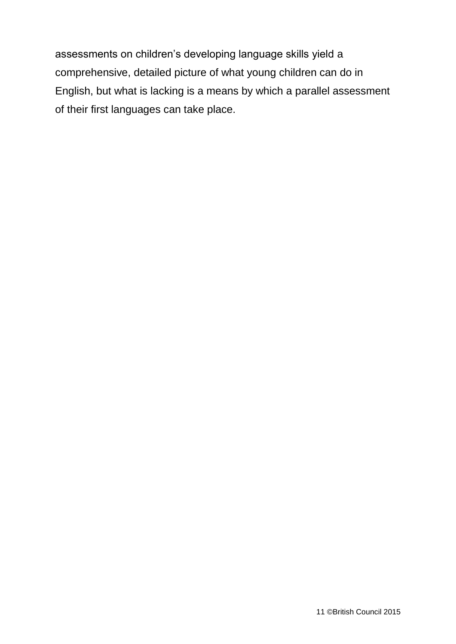<span id="page-9-0"></span>assessments on children's developing language skills yield a comprehensive, detailed picture of what young children can do in English, but what is lacking is a means by which a parallel assessment of their first languages can take place.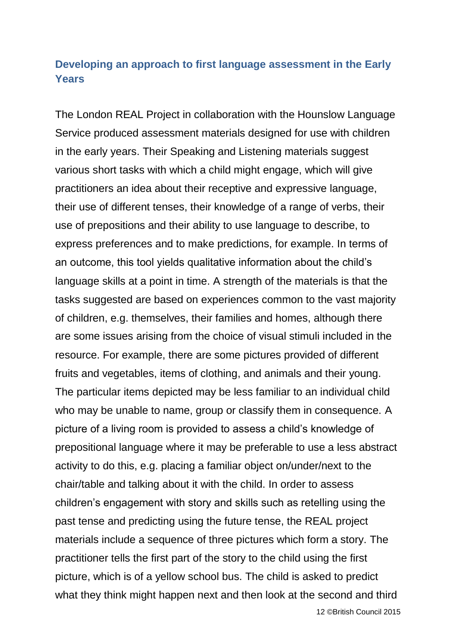### **Developing an approach to first language assessment in the Early Years**

The London REAL Project in collaboration with the Hounslow Language Service produced assessment materials designed for use with children in the early years. Their Speaking and Listening materials suggest various short tasks with which a child might engage, which will give practitioners an idea about their receptive and expressive language, their use of different tenses, their knowledge of a range of verbs, their use of prepositions and their ability to use language to describe, to express preferences and to make predictions, for example. In terms of an outcome, this tool yields qualitative information about the child's language skills at a point in time. A strength of the materials is that the tasks suggested are based on experiences common to the vast majority of children, e.g. themselves, their families and homes, although there are some issues arising from the choice of visual stimuli included in the resource. For example, there are some pictures provided of different fruits and vegetables, items of clothing, and animals and their young. The particular items depicted may be less familiar to an individual child who may be unable to name, group or classify them in consequence. A picture of a living room is provided to assess a child's knowledge of prepositional language where it may be preferable to use a less abstract activity to do this, e.g. placing a familiar object on/under/next to the chair/table and talking about it with the child. In order to assess children's engagement with story and skills such as retelling using the past tense and predicting using the future tense, the REAL project materials include a sequence of three pictures which form a story. The practitioner tells the first part of the story to the child using the first picture, which is of a yellow school bus. The child is asked to predict what they think might happen next and then look at the second and third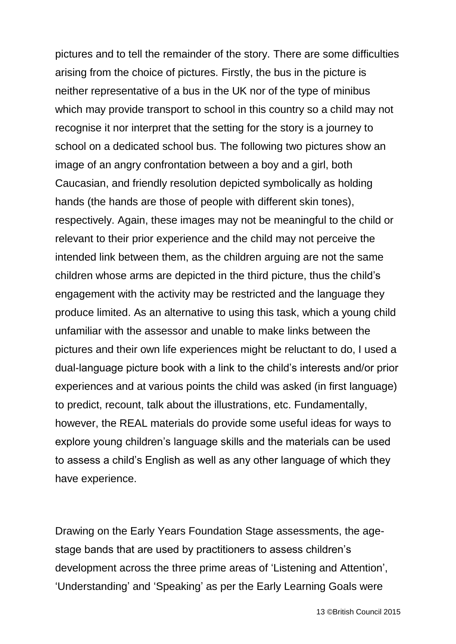pictures and to tell the remainder of the story. There are some difficulties arising from the choice of pictures. Firstly, the bus in the picture is neither representative of a bus in the UK nor of the type of minibus which may provide transport to school in this country so a child may not recognise it nor interpret that the setting for the story is a journey to school on a dedicated school bus. The following two pictures show an image of an angry confrontation between a boy and a girl, both Caucasian, and friendly resolution depicted symbolically as holding hands (the hands are those of people with different skin tones), respectively. Again, these images may not be meaningful to the child or relevant to their prior experience and the child may not perceive the intended link between them, as the children arguing are not the same children whose arms are depicted in the third picture, thus the child's engagement with the activity may be restricted and the language they produce limited. As an alternative to using this task, which a young child unfamiliar with the assessor and unable to make links between the pictures and their own life experiences might be reluctant to do, I used a dual-language picture book with a link to the child's interests and/or prior experiences and at various points the child was asked (in first language) to predict, recount, talk about the illustrations, etc. Fundamentally, however, the REAL materials do provide some useful ideas for ways to explore young children's language skills and the materials can be used to assess a child's English as well as any other language of which they have experience.

Drawing on the Early Years Foundation Stage assessments, the agestage bands that are used by practitioners to assess children's development across the three prime areas of 'Listening and Attention', 'Understanding' and 'Speaking' as per the Early Learning Goals were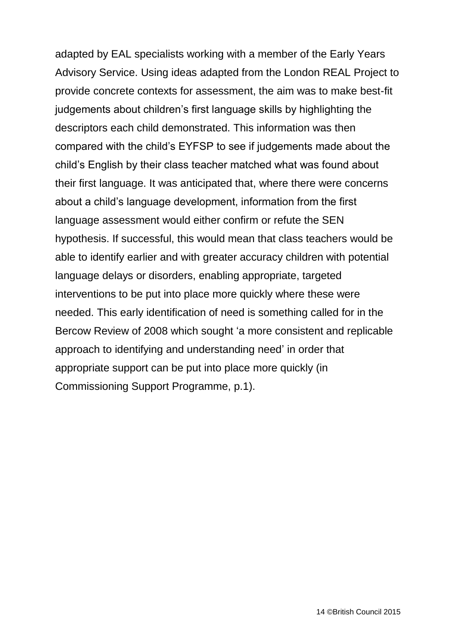adapted by EAL specialists working with a member of the Early Years Advisory Service. Using ideas adapted from the London REAL Project to provide concrete contexts for assessment, the aim was to make best-fit judgements about children's first language skills by highlighting the descriptors each child demonstrated. This information was then compared with the child's EYFSP to see if judgements made about the child's English by their class teacher matched what was found about their first language. It was anticipated that, where there were concerns about a child's language development, information from the first language assessment would either confirm or refute the SEN hypothesis. If successful, this would mean that class teachers would be able to identify earlier and with greater accuracy children with potential language delays or disorders, enabling appropriate, targeted interventions to be put into place more quickly where these were needed. This early identification of need is something called for in the Bercow Review of 2008 which sought 'a more consistent and replicable approach to identifying and understanding need' in order that appropriate support can be put into place more quickly (in Commissioning Support Programme, p.1).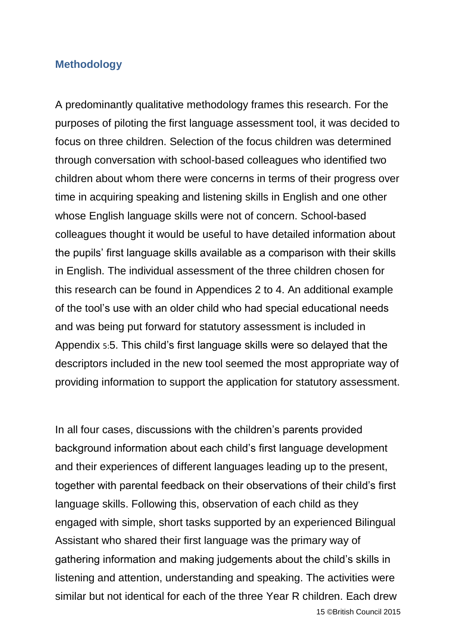#### <span id="page-13-0"></span>**Methodology**

A predominantly qualitative methodology frames this research. For the purposes of piloting the first language assessment tool, it was decided to focus on three children. Selection of the focus children was determined through conversation with school-based colleagues who identified two children about whom there were concerns in terms of their progress over time in acquiring speaking and listening skills in English and one other whose English language skills were not of concern. School-based colleagues thought it would be useful to have detailed information about the pupils' first language skills available as a comparison with their skills in English. The individual assessment of the three children chosen for this research can be found in Appendices 2 to 4. An additional example of the tool's use with an older child who had special educational needs and was being put forward for statutory assessment is included in [Appendix](#page-66-0) 5:5. This child's first language skills were so delayed that the descriptors included in the new tool seemed the most appropriate way of providing information to support the application for statutory assessment.

In all four cases, discussions with the children's parents provided background information about each child's first language development and their experiences of different languages leading up to the present, together with parental feedback on their observations of their child's first language skills. Following this, observation of each child as they engaged with simple, short tasks supported by an experienced Bilingual Assistant who shared their first language was the primary way of gathering information and making judgements about the child's skills in listening and attention, understanding and speaking. The activities were similar but not identical for each of the three Year R children. Each drew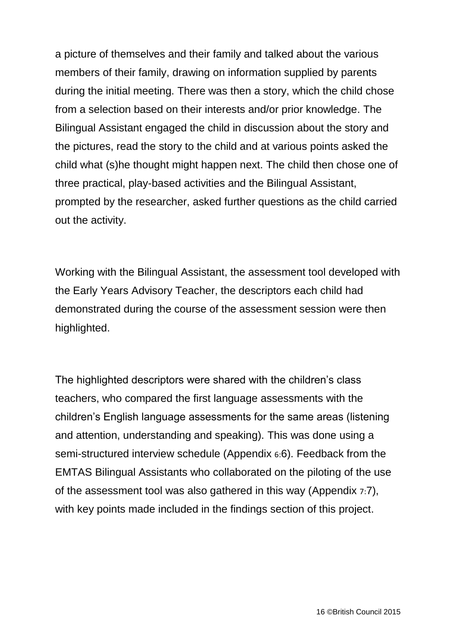a picture of themselves and their family and talked about the various members of their family, drawing on information supplied by parents during the initial meeting. There was then a story, which the child chose from a selection based on their interests and/or prior knowledge. The Bilingual Assistant engaged the child in discussion about the story and the pictures, read the story to the child and at various points asked the child what (s)he thought might happen next. The child then chose one of three practical, play-based activities and the Bilingual Assistant, prompted by the researcher, asked further questions as the child carried out the activity.

Working with the Bilingual Assistant, the assessment tool developed with the Early Years Advisory Teacher, the descriptors each child had demonstrated during the course of the assessment session were then highlighted.

The highlighted descriptors were shared with the children's class teachers, who compared the first language assessments with the children's English language assessments for the same areas (listening and attention, understanding and speaking). This was done using a semi-structured interview schedule [\(Appendix](#page-73-0) 6:6). Feedback from the EMTAS Bilingual Assistants who collaborated on the piloting of the use of the assessment tool was also gathered in this way [\(Appendix](#page-74-0) 7:7), with key points made included in the findings section of this project.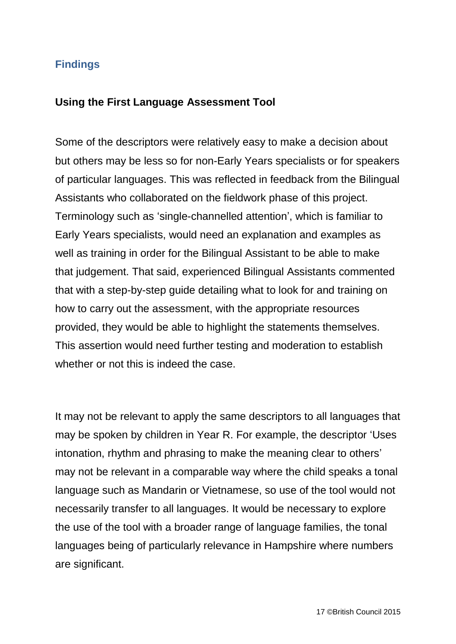#### <span id="page-15-0"></span>**Findings**

#### <span id="page-15-1"></span>**Using the First Language Assessment Tool**

Some of the descriptors were relatively easy to make a decision about but others may be less so for non-Early Years specialists or for speakers of particular languages. This was reflected in feedback from the Bilingual Assistants who collaborated on the fieldwork phase of this project. Terminology such as 'single-channelled attention', which is familiar to Early Years specialists, would need an explanation and examples as well as training in order for the Bilingual Assistant to be able to make that judgement. That said, experienced Bilingual Assistants commented that with a step-by-step guide detailing what to look for and training on how to carry out the assessment, with the appropriate resources provided, they would be able to highlight the statements themselves. This assertion would need further testing and moderation to establish whether or not this is indeed the case.

It may not be relevant to apply the same descriptors to all languages that may be spoken by children in Year R. For example, the descriptor 'Uses intonation, rhythm and phrasing to make the meaning clear to others' may not be relevant in a comparable way where the child speaks a tonal language such as Mandarin or Vietnamese, so use of the tool would not necessarily transfer to all languages. It would be necessary to explore the use of the tool with a broader range of language families, the tonal languages being of particularly relevance in Hampshire where numbers are significant.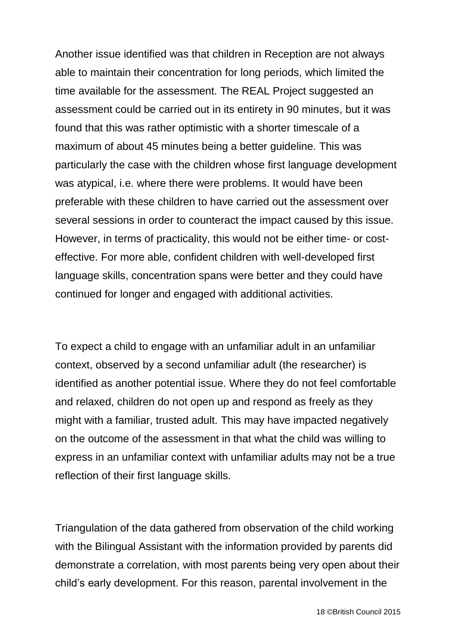Another issue identified was that children in Reception are not always able to maintain their concentration for long periods, which limited the time available for the assessment. The REAL Project suggested an assessment could be carried out in its entirety in 90 minutes, but it was found that this was rather optimistic with a shorter timescale of a maximum of about 45 minutes being a better guideline. This was particularly the case with the children whose first language development was atypical, i.e. where there were problems. It would have been preferable with these children to have carried out the assessment over several sessions in order to counteract the impact caused by this issue. However, in terms of practicality, this would not be either time- or costeffective. For more able, confident children with well-developed first language skills, concentration spans were better and they could have continued for longer and engaged with additional activities.

To expect a child to engage with an unfamiliar adult in an unfamiliar context, observed by a second unfamiliar adult (the researcher) is identified as another potential issue. Where they do not feel comfortable and relaxed, children do not open up and respond as freely as they might with a familiar, trusted adult. This may have impacted negatively on the outcome of the assessment in that what the child was willing to express in an unfamiliar context with unfamiliar adults may not be a true reflection of their first language skills.

Triangulation of the data gathered from observation of the child working with the Bilingual Assistant with the information provided by parents did demonstrate a correlation, with most parents being very open about their child's early development. For this reason, parental involvement in the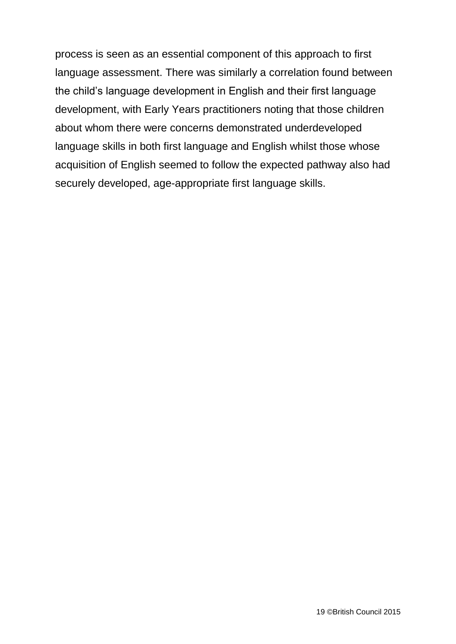process is seen as an essential component of this approach to first language assessment. There was similarly a correlation found between the child's language development in English and their first language development, with Early Years practitioners noting that those children about whom there were concerns demonstrated underdeveloped language skills in both first language and English whilst those whose acquisition of English seemed to follow the expected pathway also had securely developed, age-appropriate first language skills.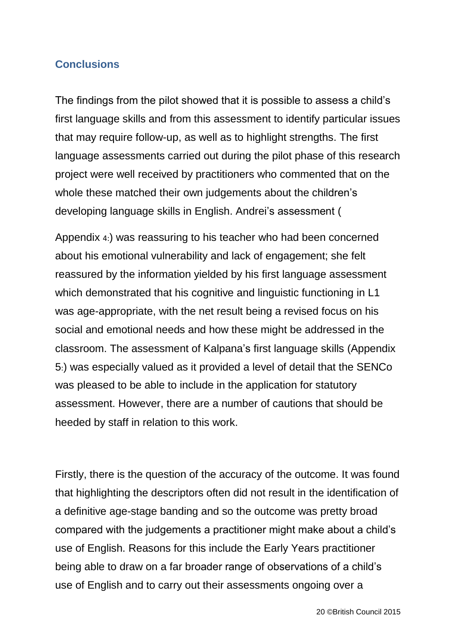#### <span id="page-18-0"></span>**Conclusions**

The findings from the pilot showed that it is possible to assess a child's first language skills and from this assessment to identify particular issues that may require follow-up, as well as to highlight strengths. The first language assessments carried out during the pilot phase of this research project were well received by practitioners who commented that on the whole these matched their own judgements about the children's developing language skills in English. Andrei's assessment [\(](#page-55-0)

[Appendix](#page-55-0) 4:) was reassuring to his teacher who had been concerned about his emotional vulnerability and lack of engagement; she felt reassured by the information yielded by his first language assessment which demonstrated that his cognitive and linguistic functioning in L1 was age-appropriate, with the net result being a revised focus on his social and emotional needs and how these might be addressed in the classroom. The assessment of Kalpana's first language skills [\(Appendix](#page-66-0)  [5](#page-66-0):) was especially valued as it provided a level of detail that the SENCo was pleased to be able to include in the application for statutory assessment. However, there are a number of cautions that should be heeded by staff in relation to this work.

Firstly, there is the question of the accuracy of the outcome. It was found that highlighting the descriptors often did not result in the identification of a definitive age-stage banding and so the outcome was pretty broad compared with the judgements a practitioner might make about a child's use of English. Reasons for this include the Early Years practitioner being able to draw on a far broader range of observations of a child's use of English and to carry out their assessments ongoing over a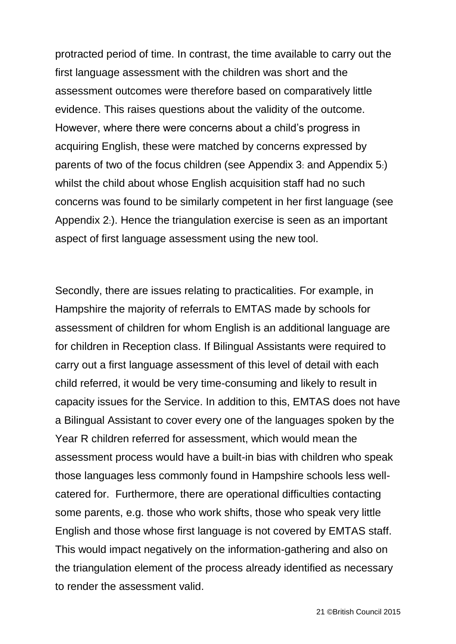protracted period of time. In contrast, the time available to carry out the first language assessment with the children was short and the assessment outcomes were therefore based on comparatively little evidence. This raises questions about the validity of the outcome. However, where there were concerns about a child's progress in acquiring English, these were matched by concerns expressed by parents of two of the focus children (see [Appendix 3](#page-44-0): and [Appendix 5](#page-66-0):) whilst the child about whose English acquisition staff had no such concerns was found to be similarly competent in her first language (see [Appendix 2](#page-33-0):). Hence the triangulation exercise is seen as an important aspect of first language assessment using the new tool.

Secondly, there are issues relating to practicalities. For example, in Hampshire the majority of referrals to EMTAS made by schools for assessment of children for whom English is an additional language are for children in Reception class. If Bilingual Assistants were required to carry out a first language assessment of this level of detail with each child referred, it would be very time-consuming and likely to result in capacity issues for the Service. In addition to this, EMTAS does not have a Bilingual Assistant to cover every one of the languages spoken by the Year R children referred for assessment, which would mean the assessment process would have a built-in bias with children who speak those languages less commonly found in Hampshire schools less wellcatered for. Furthermore, there are operational difficulties contacting some parents, e.g. those who work shifts, those who speak very little English and those whose first language is not covered by EMTAS staff. This would impact negatively on the information-gathering and also on the triangulation element of the process already identified as necessary to render the assessment valid.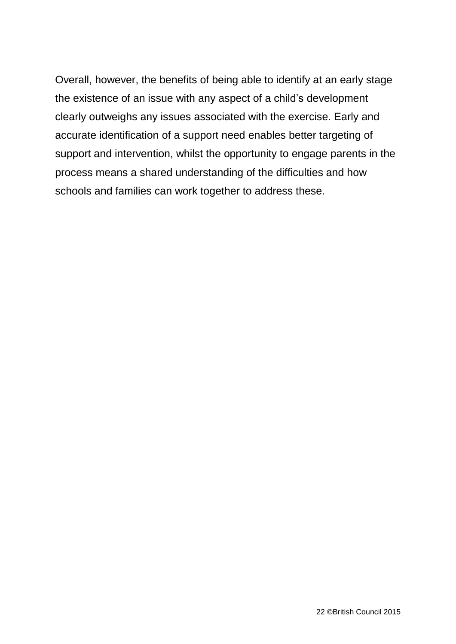Overall, however, the benefits of being able to identify at an early stage the existence of an issue with any aspect of a child's development clearly outweighs any issues associated with the exercise. Early and accurate identification of a support need enables better targeting of support and intervention, whilst the opportunity to engage parents in the process means a shared understanding of the difficulties and how schools and families can work together to address these.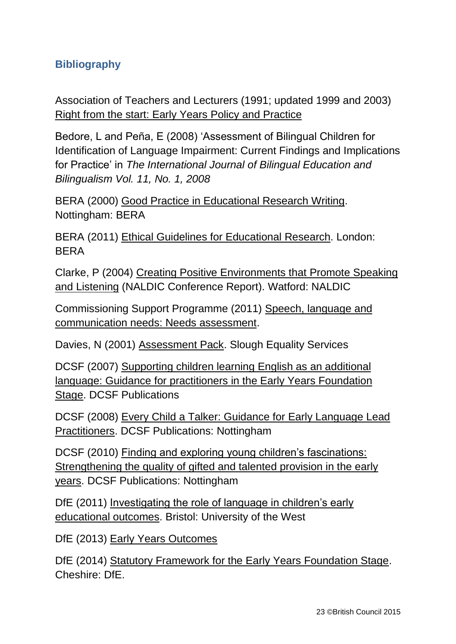### <span id="page-21-0"></span>**Bibliography**

Association of Teachers and Lecturers (1991; updated 1999 and 2003) Right from the start: Early Years Policy and Practice

Bedore, L and Peña, E (2008) 'Assessment of Bilingual Children for Identification of Language Impairment: Current Findings and Implications for Practice' in *The International Journal of Bilingual Education and Bilingualism Vol. 11, No. 1, 2008*

BERA (2000) Good Practice in Educational Research Writing. Nottingham: BERA

BERA (2011) Ethical Guidelines for Educational Research. London: BERA

Clarke, P (2004) Creating Positive Environments that Promote Speaking and Listening (NALDIC Conference Report). Watford: NALDIC

Commissioning Support Programme (2011) Speech, language and communication needs: Needs assessment.

Davies, N (2001) Assessment Pack. Slough Equality Services

DCSF (2007) Supporting children learning English as an additional language: Guidance for practitioners in the Early Years Foundation Stage. DCSF Publications

DCSF (2008) Every Child a Talker: Guidance for Early Language Lead Practitioners. DCSF Publications: Nottingham

DCSF (2010) Finding and exploring young children's fascinations: Strengthening the quality of gifted and talented provision in the early years. DCSF Publications: Nottingham

DfE (2011) Investigating the role of language in children's early educational outcomes. Bristol: University of the West

DfE (2013) Early Years Outcomes

DfE (2014) Statutory Framework for the Early Years Foundation Stage. Cheshire: DfE.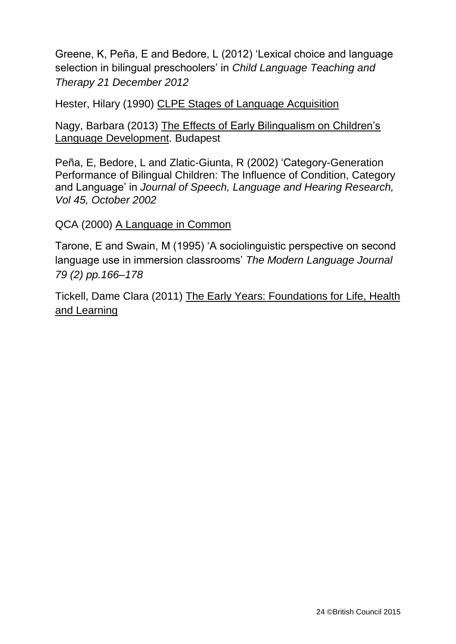Greene, K, Peña, E and Bedore, L (2012) 'Lexical choice and language selection in bilingual preschoolers' in *Child Language Teaching and Therapy 21 December 2012*

Hester, Hilary (1990) CLPE Stages of Language Acquisition

Nagy, Barbara (2013) The Effects of Early Bilingualism on Children's Language Development. Budapest

Peña, E, Bedore, L and Zlatic-Giunta, R (2002) 'Category-Generation Performance of Bilingual Children: The Influence of Condition, Category and Language' in *Journal of Speech, Language and Hearing Research, Vol 45, October 2002*

#### QCA (2000) A Language in Common

Tarone, E and Swain, M (1995) 'A sociolinguistic perspective on second language use in immersion classrooms' *The Modern Language Journal 79 (2) pp.166–178*

Tickell, Dame Clara (2011) The Early Years: Foundations for Life, Health and Learning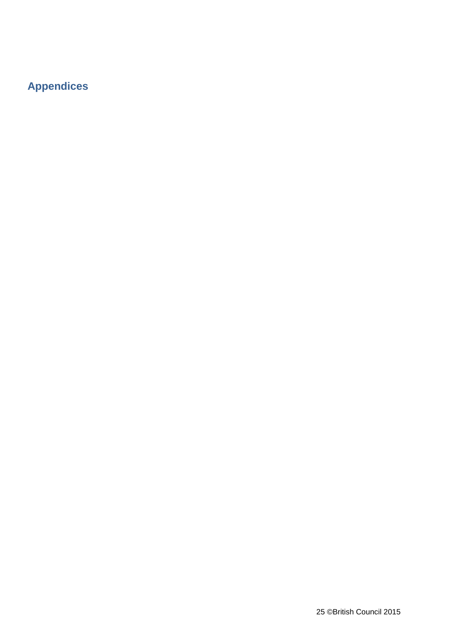## <span id="page-23-0"></span>**Appendices**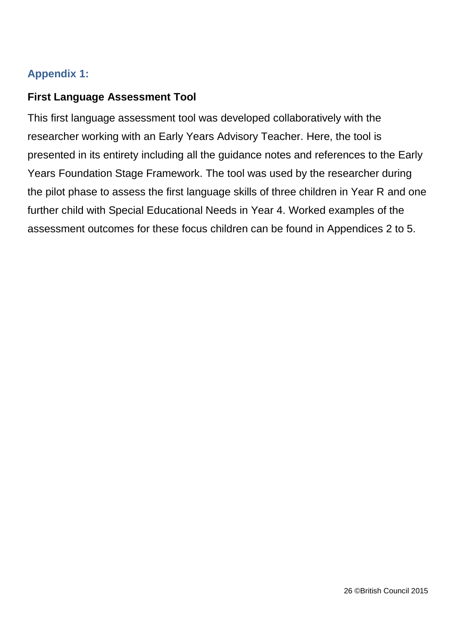### <span id="page-24-0"></span>**Appendix 1:**

### <span id="page-24-1"></span>**First Language Assessment Tool**

This first language assessment tool was developed collaboratively with the researcher working with an Early Years Advisory Teacher. Here, the tool is presented in its entirety including all the guidance notes and references to the Early Years Foundation Stage Framework. The tool was used by the researcher during the pilot phase to assess the first language skills of three children in Year R and one further child with Special Educational Needs in Year 4. Worked examples of the assessment outcomes for these focus children can be found in Appendices 2 to 5.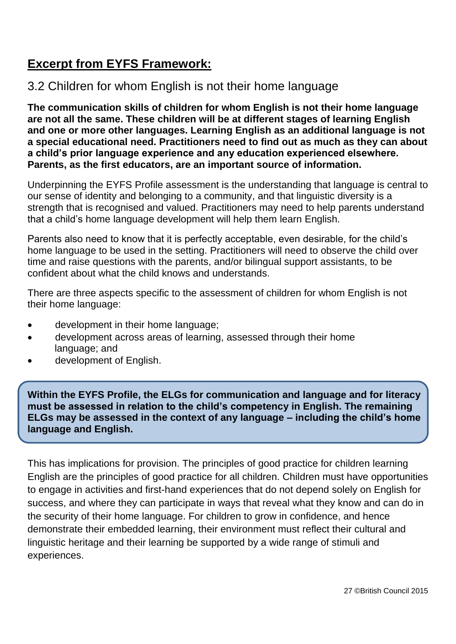## **Excerpt from EYFS Framework:**

## 3.2 Children for whom English is not their home language

**The communication skills of children for whom English is not their home language are not all the same. These children will be at different stages of learning English and one or more other languages. Learning English as an additional language is not a special educational need. Practitioners need to find out as much as they can about a child's prior language experience and any education experienced elsewhere. Parents, as the first educators, are an important source of information.** 

Underpinning the EYFS Profile assessment is the understanding that language is central to our sense of identity and belonging to a community, and that linguistic diversity is a strength that is recognised and valued. Practitioners may need to help parents understand that a child's home language development will help them learn English.

Parents also need to know that it is perfectly acceptable, even desirable, for the child's home language to be used in the setting. Practitioners will need to observe the child over time and raise questions with the parents, and/or bilingual support assistants, to be confident about what the child knows and understands.

There are three aspects specific to the assessment of children for whom English is not their home language:

- development in their home language;
- development across areas of learning, assessed through their home language; and
- development of English.

**Within the EYFS Profile, the ELGs for communication and language and for literacy must be assessed in relation to the child's competency in English. The remaining ELGs may be assessed in the context of any language – including the child's home language and English.** 

This has implications for provision. The principles of good practice for children learning English are the principles of good practice for all children. Children must have opportunities to engage in activities and first-hand experiences that do not depend solely on English for success, and where they can participate in ways that reveal what they know and can do in the security of their home language. For children to grow in confidence, and hence demonstrate their embedded learning, their environment must reflect their cultural and linguistic heritage and their learning be supported by a wide range of stimuli and experiences.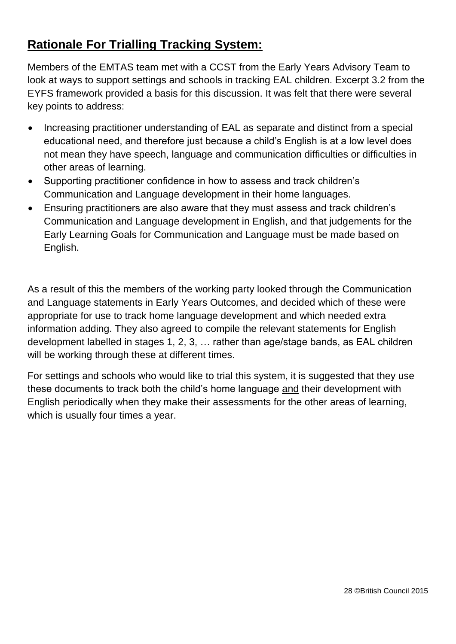## **Rationale For Trialling Tracking System:**

Members of the EMTAS team met with a CCST from the Early Years Advisory Team to look at ways to support settings and schools in tracking EAL children. Excerpt 3.2 from the EYFS framework provided a basis for this discussion. It was felt that there were several key points to address:

- Increasing practitioner understanding of EAL as separate and distinct from a special educational need, and therefore just because a child's English is at a low level does not mean they have speech, language and communication difficulties or difficulties in other areas of learning.
- Supporting practitioner confidence in how to assess and track children's Communication and Language development in their home languages.
- Ensuring practitioners are also aware that they must assess and track children's Communication and Language development in English, and that judgements for the Early Learning Goals for Communication and Language must be made based on English.

As a result of this the members of the working party looked through the Communication and Language statements in Early Years Outcomes, and decided which of these were appropriate for use to track home language development and which needed extra information adding. They also agreed to compile the relevant statements for English development labelled in stages 1, 2, 3, … rather than age/stage bands, as EAL children will be working through these at different times.

For settings and schools who would like to trial this system, it is suggested that they use these documents to track both the child's home language and their development with English periodically when they make their assessments for the other areas of learning, which is usually four times a year.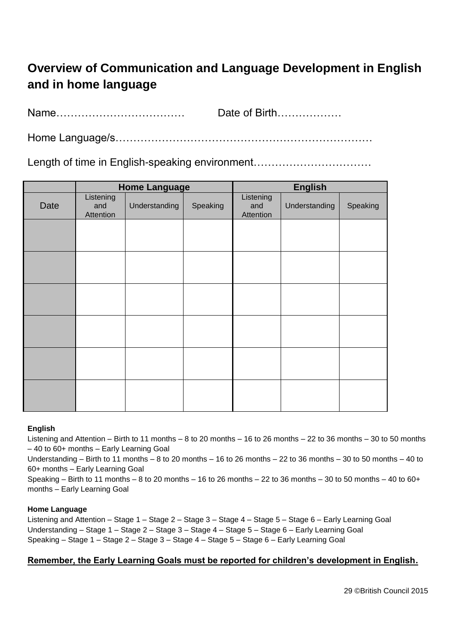# **Overview of Communication and Language Development in English and in home language**

Name……………………………… Date of Birth………………

Home Language/s………………………………………………………………

Length of time in English-speaking environment..................................

|      |                               | <b>Home Language</b> |          | <b>English</b>                |               |          |  |
|------|-------------------------------|----------------------|----------|-------------------------------|---------------|----------|--|
| Date | Listening<br>and<br>Attention | Understanding        | Speaking | Listening<br>and<br>Attention | Understanding | Speaking |  |
|      |                               |                      |          |                               |               |          |  |
|      |                               |                      |          |                               |               |          |  |
|      |                               |                      |          |                               |               |          |  |
|      |                               |                      |          |                               |               |          |  |
|      |                               |                      |          |                               |               |          |  |
|      |                               |                      |          |                               |               |          |  |
|      |                               |                      |          |                               |               |          |  |
|      |                               |                      |          |                               |               |          |  |

#### **English**

Listening and Attention – Birth to 11 months – 8 to 20 months – 16 to 26 months – 22 to 36 months – 30 to 50 months – 40 to 60+ months – Early Learning Goal

Understanding – Birth to 11 months – 8 to 20 months – 16 to 26 months – 22 to 36 months – 30 to 50 months – 40 to 60+ months – Early Learning Goal

Speaking – Birth to 11 months – 8 to 20 months – 16 to 26 months – 22 to 36 months – 30 to 50 months – 40 to 60+ months – Early Learning Goal

#### **Home Language**

Listening and Attention – Stage 1 – Stage 2 – Stage 3 – Stage 4 – Stage 5 – Stage 6 – Early Learning Goal Understanding – Stage 1 – Stage 2 – Stage 3 – Stage 4 – Stage 5 – Stage 6 – Early Learning Goal Speaking – Stage 1 – Stage 2 – Stage 3 – Stage 4 – Stage 5 – Stage 6 – Early Learning Goal

#### **Remember, the Early Learning Goals must be reported for children's development in English.**

29 ©British Council 2015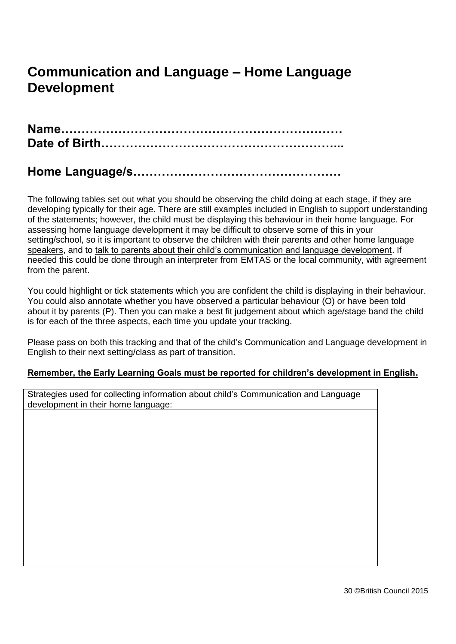# **Communication and Language – Home Language Development**

**Name…………………………………………………………… Date of Birth…………………………………………………...**

## **Home Language/s……………………………………………**

The following tables set out what you should be observing the child doing at each stage, if they are developing typically for their age. There are still examples included in English to support understanding of the statements; however, the child must be displaying this behaviour in their home language. For assessing home language development it may be difficult to observe some of this in your setting/school, so it is important to observe the children with their parents and other home language speakers, and to talk to parents about their child's communication and language development. If needed this could be done through an interpreter from EMTAS or the local community, with agreement from the parent.

You could highlight or tick statements which you are confident the child is displaying in their behaviour. You could also annotate whether you have observed a particular behaviour (O) or have been told about it by parents (P). Then you can make a best fit judgement about which age/stage band the child is for each of the three aspects, each time you update your tracking.

Please pass on both this tracking and that of the child's Communication and Language development in English to their next setting/class as part of transition.

#### **Remember, the Early Learning Goals must be reported for children's development in English.**

Strategies used for collecting information about child's Communication and Language development in their home language: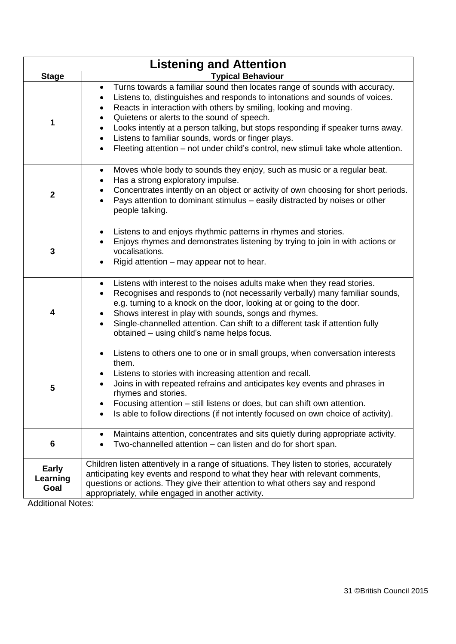|                           | <b>Listening and Attention</b>                                                                                                                                                                                                                                                                                                                                                                                                                                                                                                                                                                        |
|---------------------------|-------------------------------------------------------------------------------------------------------------------------------------------------------------------------------------------------------------------------------------------------------------------------------------------------------------------------------------------------------------------------------------------------------------------------------------------------------------------------------------------------------------------------------------------------------------------------------------------------------|
| <b>Stage</b>              | <b>Typical Behaviour</b>                                                                                                                                                                                                                                                                                                                                                                                                                                                                                                                                                                              |
| 1                         | Turns towards a familiar sound then locates range of sounds with accuracy.<br>$\bullet$<br>Listens to, distinguishes and responds to intonations and sounds of voices.<br>$\bullet$<br>Reacts in interaction with others by smiling, looking and moving.<br>$\bullet$<br>Quietens or alerts to the sound of speech.<br>$\bullet$<br>Looks intently at a person talking, but stops responding if speaker turns away.<br>$\bullet$<br>Listens to familiar sounds, words or finger plays.<br>$\bullet$<br>Fleeting attention - not under child's control, new stimuli take whole attention.<br>$\bullet$ |
| $\mathbf 2$               | Moves whole body to sounds they enjoy, such as music or a regular beat.<br>$\bullet$<br>Has a strong exploratory impulse.<br>Concentrates intently on an object or activity of own choosing for short periods.<br>Pays attention to dominant stimulus – easily distracted by noises or other<br>$\bullet$<br>people talking.                                                                                                                                                                                                                                                                          |
| 3                         | Listens to and enjoys rhythmic patterns in rhymes and stories.<br>$\bullet$<br>Enjoys rhymes and demonstrates listening by trying to join in with actions or<br>vocalisations.<br>Rigid attention – may appear not to hear.                                                                                                                                                                                                                                                                                                                                                                           |
| 4                         | Listens with interest to the noises adults make when they read stories.<br>$\bullet$<br>Recognises and responds to (not necessarily verbally) many familiar sounds,<br>$\bullet$<br>e.g. turning to a knock on the door, looking at or going to the door.<br>Shows interest in play with sounds, songs and rhymes.<br>Single-channelled attention. Can shift to a different task if attention fully<br>$\bullet$<br>obtained - using child's name helps focus.                                                                                                                                        |
| 5                         | Listens to others one to one or in small groups, when conversation interests<br>$\bullet$<br>them.<br>Listens to stories with increasing attention and recall.<br>Joins in with repeated refrains and anticipates key events and phrases in<br>rhymes and stories.<br>Focusing attention - still listens or does, but can shift own attention.<br>Is able to follow directions (if not intently focused on own choice of activity).                                                                                                                                                                   |
| 6                         | Maintains attention, concentrates and sits quietly during appropriate activity.<br>Two-channelled attention - can listen and do for short span.                                                                                                                                                                                                                                                                                                                                                                                                                                                       |
| Early<br>Learning<br>Goal | Children listen attentively in a range of situations. They listen to stories, accurately<br>anticipating key events and respond to what they hear with relevant comments,<br>questions or actions. They give their attention to what others say and respond<br>appropriately, while engaged in another activity.                                                                                                                                                                                                                                                                                      |

Additional Notes: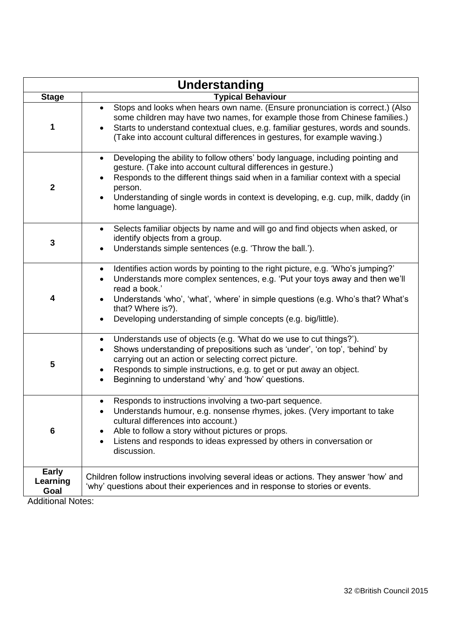|                           | <b>Understanding</b>                                                                                                                                                                                                                                                                                                                                               |
|---------------------------|--------------------------------------------------------------------------------------------------------------------------------------------------------------------------------------------------------------------------------------------------------------------------------------------------------------------------------------------------------------------|
| <b>Stage</b>              | <b>Typical Behaviour</b>                                                                                                                                                                                                                                                                                                                                           |
| 1                         | Stops and looks when hears own name. (Ensure pronunciation is correct.) (Also<br>some children may have two names, for example those from Chinese families.)<br>Starts to understand contextual clues, e.g. familiar gestures, words and sounds.<br>(Take into account cultural differences in gestures, for example waving.)                                      |
| $\mathbf{2}$              | Developing the ability to follow others' body language, including pointing and<br>$\bullet$<br>gesture. (Take into account cultural differences in gesture.)<br>Responds to the different things said when in a familiar context with a special<br>person.<br>Understanding of single words in context is developing, e.g. cup, milk, daddy (in<br>home language). |
| 3                         | Selects familiar objects by name and will go and find objects when asked, or<br>$\bullet$<br>identify objects from a group.<br>Understands simple sentences (e.g. 'Throw the ball.').                                                                                                                                                                              |
| $\overline{\mathbf{4}}$   | Identifies action words by pointing to the right picture, e.g. 'Who's jumping?'<br>Understands more complex sentences, e.g. 'Put your toys away and then we'll<br>read a book.'<br>Understands 'who', 'what', 'where' in simple questions (e.g. Who's that? What's<br>that? Where is?).<br>Developing understanding of simple concepts (e.g. big/little).          |
| 5                         | Understands use of objects (e.g. 'What do we use to cut things?').<br>$\bullet$<br>Shows understanding of prepositions such as 'under', 'on top', 'behind' by<br>$\bullet$<br>carrying out an action or selecting correct picture.<br>Responds to simple instructions, e.g. to get or put away an object.<br>Beginning to understand 'why' and 'how' questions.    |
| 6                         | Responds to instructions involving a two-part sequence.<br>Understands humour, e.g. nonsense rhymes, jokes. (Very important to take<br>cultural differences into account.)<br>Able to follow a story without pictures or props.<br>Listens and responds to ideas expressed by others in conversation or<br>discussion.                                             |
| Early<br>Learning<br>Goal | Children follow instructions involving several ideas or actions. They answer 'how' and<br>'why' questions about their experiences and in response to stories or events.                                                                                                                                                                                            |

Additional Notes: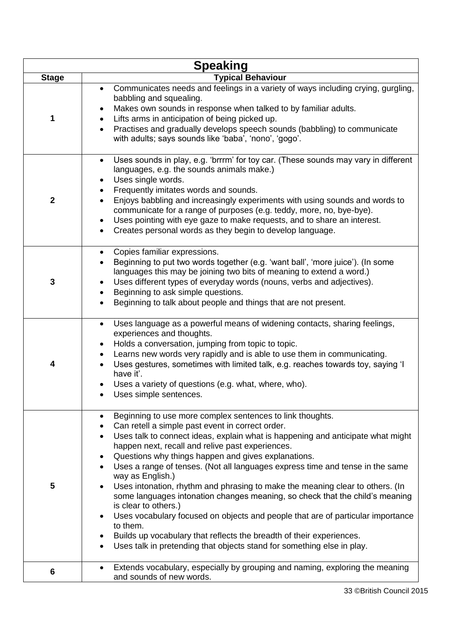| <b>Speaking</b> |                                                                                                                                                                                                                                                                                                                                                                                                                                                                                                                                                                                                                                                                                                                                                                                                                                                                                                   |  |  |  |  |
|-----------------|---------------------------------------------------------------------------------------------------------------------------------------------------------------------------------------------------------------------------------------------------------------------------------------------------------------------------------------------------------------------------------------------------------------------------------------------------------------------------------------------------------------------------------------------------------------------------------------------------------------------------------------------------------------------------------------------------------------------------------------------------------------------------------------------------------------------------------------------------------------------------------------------------|--|--|--|--|
| <b>Stage</b>    | <b>Typical Behaviour</b>                                                                                                                                                                                                                                                                                                                                                                                                                                                                                                                                                                                                                                                                                                                                                                                                                                                                          |  |  |  |  |
| 1               | Communicates needs and feelings in a variety of ways including crying, gurgling,<br>$\bullet$<br>babbling and squealing.<br>Makes own sounds in response when talked to by familiar adults.<br>Lifts arms in anticipation of being picked up.<br>Practises and gradually develops speech sounds (babbling) to communicate<br>$\bullet$<br>with adults; says sounds like 'baba', 'nono', 'gogo'.                                                                                                                                                                                                                                                                                                                                                                                                                                                                                                   |  |  |  |  |
| $\mathbf 2$     | Uses sounds in play, e.g. 'brrrm' for toy car. (These sounds may vary in different<br>$\bullet$<br>languages, e.g. the sounds animals make.)<br>Uses single words.<br>$\bullet$<br>Frequently imitates words and sounds.<br>$\bullet$<br>Enjoys babbling and increasingly experiments with using sounds and words to<br>communicate for a range of purposes (e.g. teddy, more, no, bye-bye).<br>Uses pointing with eye gaze to make requests, and to share an interest.<br>$\bullet$<br>Creates personal words as they begin to develop language.<br>$\bullet$                                                                                                                                                                                                                                                                                                                                    |  |  |  |  |
| 3               | Copies familiar expressions.<br>٠<br>Beginning to put two words together (e.g. 'want ball', 'more juice'). (In some<br>$\bullet$<br>languages this may be joining two bits of meaning to extend a word.)<br>Uses different types of everyday words (nouns, verbs and adjectives).<br>Beginning to ask simple questions.<br>$\bullet$<br>Beginning to talk about people and things that are not present.                                                                                                                                                                                                                                                                                                                                                                                                                                                                                           |  |  |  |  |
| 4               | Uses language as a powerful means of widening contacts, sharing feelings,<br>$\bullet$<br>experiences and thoughts.<br>Holds a conversation, jumping from topic to topic.<br>$\bullet$<br>Learns new words very rapidly and is able to use them in communicating.<br>$\bullet$<br>Uses gestures, sometimes with limited talk, e.g. reaches towards toy, saying 'I<br>have it'.<br>Uses a variety of questions (e.g. what, where, who).<br>Uses simple sentences.                                                                                                                                                                                                                                                                                                                                                                                                                                  |  |  |  |  |
| 5               | Beginning to use more complex sentences to link thoughts.<br>Can retell a simple past event in correct order.<br>Uses talk to connect ideas, explain what is happening and anticipate what might<br>$\bullet$<br>happen next, recall and relive past experiences.<br>Questions why things happen and gives explanations.<br>$\bullet$<br>Uses a range of tenses. (Not all languages express time and tense in the same<br>$\bullet$<br>way as English.)<br>Uses intonation, rhythm and phrasing to make the meaning clear to others. (In<br>some languages intonation changes meaning, so check that the child's meaning<br>is clear to others.)<br>Uses vocabulary focused on objects and people that are of particular importance<br>to them.<br>Builds up vocabulary that reflects the breadth of their experiences.<br>Uses talk in pretending that objects stand for something else in play. |  |  |  |  |
| 6               | Extends vocabulary, especially by grouping and naming, exploring the meaning<br>$\bullet$<br>and sounds of new words.                                                                                                                                                                                                                                                                                                                                                                                                                                                                                                                                                                                                                                                                                                                                                                             |  |  |  |  |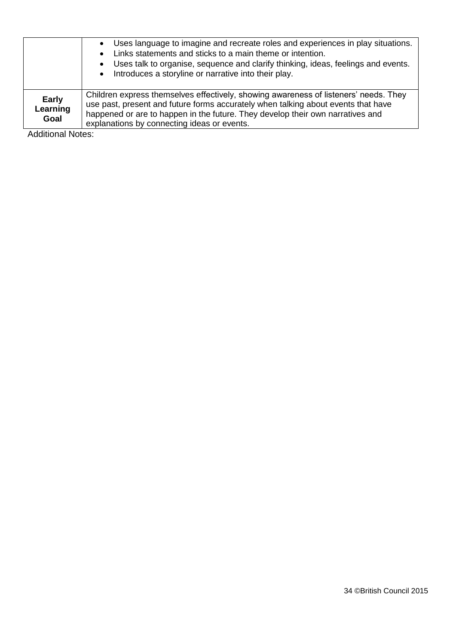|                                  | Uses language to imagine and recreate roles and experiences in play situations.<br>Links statements and sticks to a main theme or intention.<br>Uses talk to organise, sequence and clarify thinking, ideas, feelings and events.<br>• Introduces a storyline or narrative into their play.                |
|----------------------------------|------------------------------------------------------------------------------------------------------------------------------------------------------------------------------------------------------------------------------------------------------------------------------------------------------------|
| <b>Early</b><br>Learning<br>Goal | Children express themselves effectively, showing awareness of listeners' needs. They<br>use past, present and future forms accurately when talking about events that have<br>happened or are to happen in the future. They develop their own narratives and<br>explanations by connecting ideas or events. |

Additional Notes: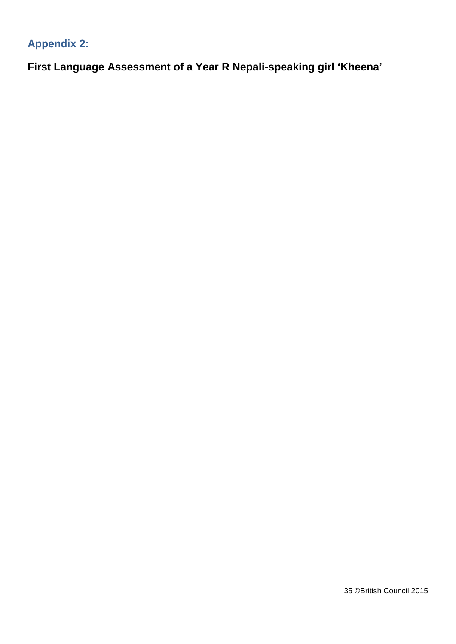# <span id="page-33-0"></span>**Appendix 2:**

<span id="page-33-1"></span>**First Language Assessment of a Year R Nepali-speaking girl 'Kheena'**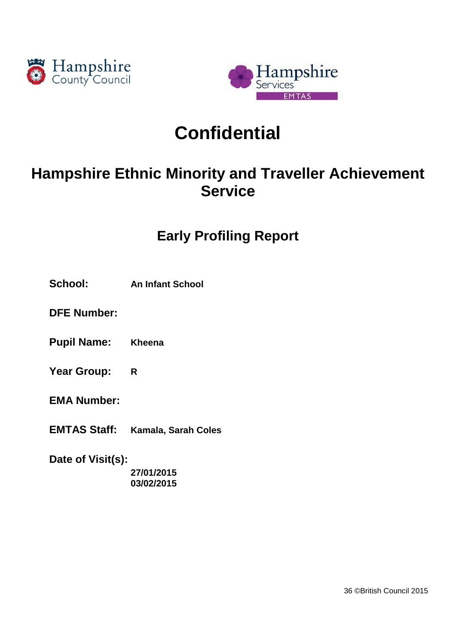



# **Confidential**

# **Hampshire Ethnic Minority and Traveller Achievement Service**

# **Early Profiling Report**

- **School: An Infant School**
- **DFE Number:**
- **Pupil Name: Kheena**
- **Year Group: R**
- **EMA Number:**
- **EMTAS Staff: Kamala, Sarah Coles**

**Date of Visit(s): 27/01/2015**

**03/02/2015**

36 ©British Council 2015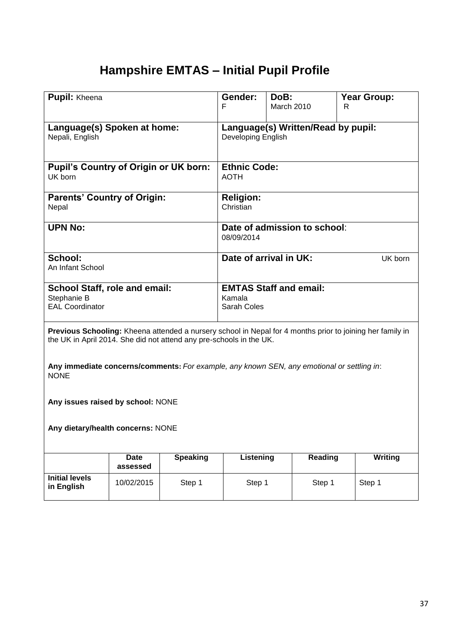# **Hampshire EMTAS – Initial Pupil Profile**

| <b>Pupil:</b> Kheena                                                                                                                                                             |                         |                 | Gender:<br>F                                             | DoB:<br>March 2010 |         | <b>Year Group:</b><br>R |                |
|----------------------------------------------------------------------------------------------------------------------------------------------------------------------------------|-------------------------|-----------------|----------------------------------------------------------|--------------------|---------|-------------------------|----------------|
| Language(s) Spoken at home:<br>Nepali, English                                                                                                                                   |                         |                 | Language(s) Written/Read by pupil:<br>Developing English |                    |         |                         |                |
| Pupil's Country of Origin or UK born:<br>UK born                                                                                                                                 |                         |                 | <b>Ethnic Code:</b><br><b>AOTH</b>                       |                    |         |                         |                |
| <b>Parents' Country of Origin:</b><br>Nepal                                                                                                                                      |                         |                 | <b>Religion:</b><br>Christian                            |                    |         |                         |                |
| <b>UPN No:</b>                                                                                                                                                                   |                         |                 | Date of admission to school:<br>08/09/2014               |                    |         |                         |                |
| School:<br>An Infant School                                                                                                                                                      |                         |                 | Date of arrival in UK:                                   |                    |         |                         | UK born        |
| <b>School Staff, role and email:</b><br>Stephanie B<br><b>EAL Coordinator</b>                                                                                                    |                         |                 | <b>EMTAS Staff and email:</b><br>Kamala<br>Sarah Coles   |                    |         |                         |                |
| Previous Schooling: Kheena attended a nursery school in Nepal for 4 months prior to joining her family in<br>the UK in April 2014. She did not attend any pre-schools in the UK. |                         |                 |                                                          |                    |         |                         |                |
| Any immediate concerns/comments: For example, any known SEN, any emotional or settling in:<br><b>NONE</b>                                                                        |                         |                 |                                                          |                    |         |                         |                |
| Any issues raised by school: NONE                                                                                                                                                |                         |                 |                                                          |                    |         |                         |                |
| Any dietary/health concerns: NONE                                                                                                                                                |                         |                 |                                                          |                    |         |                         |                |
|                                                                                                                                                                                  | <b>Date</b><br>assessed | <b>Speaking</b> | Listening                                                |                    | Reading |                         | <b>Writing</b> |
| <b>Initial levels</b><br>in English                                                                                                                                              | 10/02/2015              | Step 1          | Step 1                                                   |                    | Step 1  | Step 1                  |                |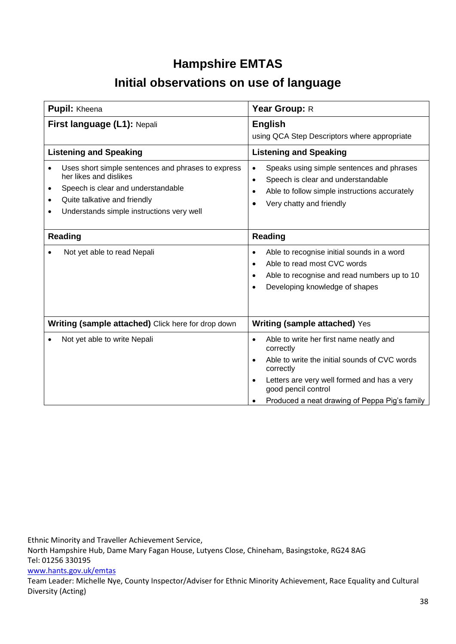### **Hampshire EMTAS**

### **Initial observations on use of language**

| Pupil: Kheena                                                                                                                                                                                                                               | Year Group: R                                                                                                                                                                                                                                          |  |  |
|---------------------------------------------------------------------------------------------------------------------------------------------------------------------------------------------------------------------------------------------|--------------------------------------------------------------------------------------------------------------------------------------------------------------------------------------------------------------------------------------------------------|--|--|
| First language (L1): Nepali                                                                                                                                                                                                                 | <b>English</b><br>using QCA Step Descriptors where appropriate                                                                                                                                                                                         |  |  |
| <b>Listening and Speaking</b>                                                                                                                                                                                                               | <b>Listening and Speaking</b>                                                                                                                                                                                                                          |  |  |
| Uses short simple sentences and phrases to express<br>her likes and dislikes<br>Speech is clear and understandable<br>$\bullet$<br>Quite talkative and friendly<br>$\bullet$<br>Understands simple instructions very well<br><b>Reading</b> | Speaks using simple sentences and phrases<br>$\bullet$<br>Speech is clear and understandable<br>$\bullet$<br>Able to follow simple instructions accurately<br>$\bullet$<br>Very chatty and friendly<br><b>Reading</b>                                  |  |  |
| Not yet able to read Nepali                                                                                                                                                                                                                 | Able to recognise initial sounds in a word<br>$\bullet$<br>Able to read most CVC words<br>Able to recognise and read numbers up to 10<br>Developing knowledge of shapes                                                                                |  |  |
| Writing (sample attached) Click here for drop down                                                                                                                                                                                          | <b>Writing (sample attached) Yes</b>                                                                                                                                                                                                                   |  |  |
| Not yet able to write Nepali                                                                                                                                                                                                                | Able to write her first name neatly and<br>$\bullet$<br>correctly<br>Able to write the initial sounds of CVC words<br>correctly<br>Letters are very well formed and has a very<br>good pencil control<br>Produced a neat drawing of Peppa Pig's family |  |  |

Ethnic Minority and Traveller Achievement Service,

North Hampshire Hub, Dame Mary Fagan House, Lutyens Close, Chineham, Basingstoke, RG24 8AG Tel: 01256 330195

#### [www.hants.gov.uk/emtas](http://www.hants.gov.uk/emtas)

Team Leader: Michelle Nye, County Inspector/Adviser for Ethnic Minority Achievement, Race Equality and Cultural Diversity (Acting)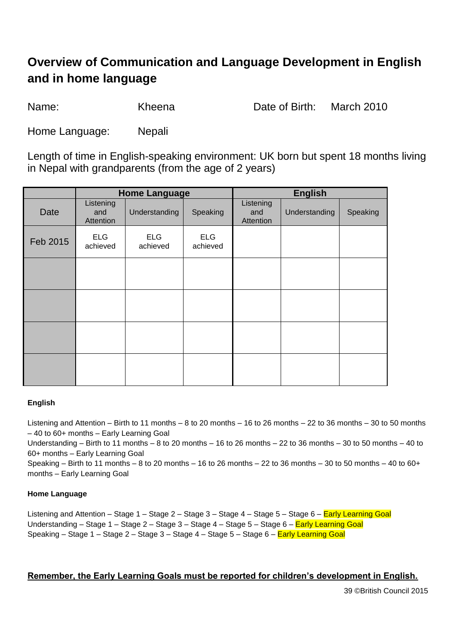### **Overview of Communication and Language Development in English and in home language**

Name: Kheena Date of Birth: March 2010

Home Language: Nepali

Length of time in English-speaking environment: UK born but spent 18 months living in Nepal with grandparents (from the age of 2 years)

|          | <b>Home Language</b>          |                        |                        |                               | <b>English</b> |          |
|----------|-------------------------------|------------------------|------------------------|-------------------------------|----------------|----------|
| Date     | Listening<br>and<br>Attention | Understanding          | Speaking               | Listening<br>and<br>Attention | Understanding  | Speaking |
| Feb 2015 | <b>ELG</b><br>achieved        | <b>ELG</b><br>achieved | <b>ELG</b><br>achieved |                               |                |          |
|          |                               |                        |                        |                               |                |          |
|          |                               |                        |                        |                               |                |          |
|          |                               |                        |                        |                               |                |          |
|          |                               |                        |                        |                               |                |          |

#### **English**

Listening and Attention – Birth to 11 months – 8 to 20 months – 16 to 26 months – 22 to 36 months – 30 to 50 months – 40 to 60+ months – Early Learning Goal

Understanding – Birth to 11 months – 8 to 20 months – 16 to 26 months – 22 to 36 months – 30 to 50 months – 40 to 60+ months – Early Learning Goal

Speaking – Birth to 11 months – 8 to 20 months – 16 to 26 months – 22 to 36 months – 30 to 50 months – 40 to 60+ months – Early Learning Goal

#### **Home Language**

Listening and Attention – Stage 1 – Stage 2 – Stage 3 – Stage 4 – Stage 5 – Stage 6 – Early Learning Goal Understanding – Stage 1 – Stage 2 – Stage 3 – Stage 4 – Stage 5 – Stage 6 – Early Learning Goal Speaking – Stage 1 – Stage 2 – Stage 3 – Stage 4 – Stage 5 – Stage 6 – Early Learning Goal

#### **Remember, the Early Learning Goals must be reported for children's development in English.**

39 ©British Council 2015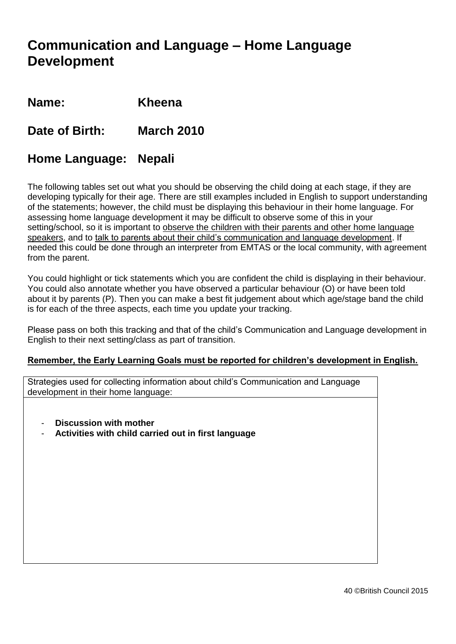### **Communication and Language – Home Language Development**

**Name: Kheena**

**Date of Birth: March 2010**

#### **Home Language: Nepali**

The following tables set out what you should be observing the child doing at each stage, if they are developing typically for their age. There are still examples included in English to support understanding of the statements; however, the child must be displaying this behaviour in their home language. For assessing home language development it may be difficult to observe some of this in your setting/school, so it is important to observe the children with their parents and other home language speakers, and to talk to parents about their child's communication and language development. If needed this could be done through an interpreter from EMTAS or the local community, with agreement from the parent.

You could highlight or tick statements which you are confident the child is displaying in their behaviour. You could also annotate whether you have observed a particular behaviour (O) or have been told about it by parents (P). Then you can make a best fit judgement about which age/stage band the child is for each of the three aspects, each time you update your tracking.

Please pass on both this tracking and that of the child's Communication and Language development in English to their next setting/class as part of transition.

#### **Remember, the Early Learning Goals must be reported for children's development in English.**

Strategies used for collecting information about child's Communication and Language development in their home language:

- **Discussion with mother**
- **Activities with child carried out in first language**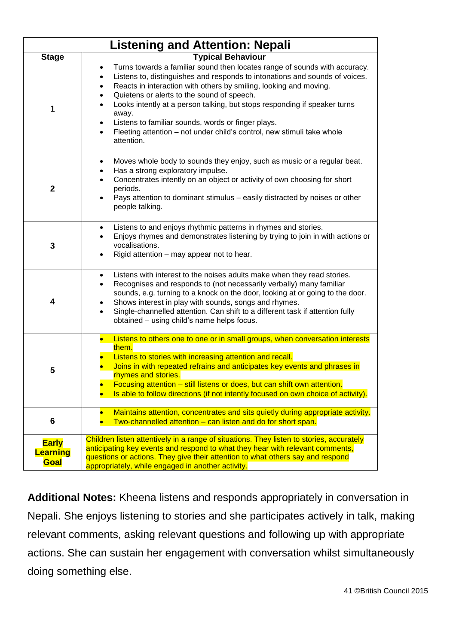|                                         | <b>Listening and Attention: Nepali</b>                                                                                                                                                                                                                                                                                                                                                                                                                                                                                        |
|-----------------------------------------|-------------------------------------------------------------------------------------------------------------------------------------------------------------------------------------------------------------------------------------------------------------------------------------------------------------------------------------------------------------------------------------------------------------------------------------------------------------------------------------------------------------------------------|
| <b>Stage</b>                            | <b>Typical Behaviour</b>                                                                                                                                                                                                                                                                                                                                                                                                                                                                                                      |
| 1                                       | Turns towards a familiar sound then locates range of sounds with accuracy.<br>$\bullet$<br>Listens to, distinguishes and responds to intonations and sounds of voices.<br>Reacts in interaction with others by smiling, looking and moving.<br>Quietens or alerts to the sound of speech.<br>Looks intently at a person talking, but stops responding if speaker turns<br>away.<br>Listens to familiar sounds, words or finger plays.<br>Fleeting attention - not under child's control, new stimuli take whole<br>attention. |
| $\mathbf{2}$                            | Moves whole body to sounds they enjoy, such as music or a regular beat.<br>٠<br>Has a strong exploratory impulse.<br>Concentrates intently on an object or activity of own choosing for short<br>periods.<br>Pays attention to dominant stimulus - easily distracted by noises or other<br>people talking.                                                                                                                                                                                                                    |
| 3                                       | Listens to and enjoys rhythmic patterns in rhymes and stories.<br>Enjoys rhymes and demonstrates listening by trying to join in with actions or<br>vocalisations.<br>Rigid attention – may appear not to hear.                                                                                                                                                                                                                                                                                                                |
| 4                                       | Listens with interest to the noises adults make when they read stories.<br>$\bullet$<br>Recognises and responds to (not necessarily verbally) many familiar<br>$\bullet$<br>sounds, e.g. turning to a knock on the door, looking at or going to the door.<br>Shows interest in play with sounds, songs and rhymes.<br>Single-channelled attention. Can shift to a different task if attention fully<br>$\bullet$<br>obtained - using child's name helps focus.                                                                |
| 5                                       | Listens to others one to one or in small groups, when conversation interests<br>$\bullet$<br>them.<br>Listens to stories with increasing attention and recall.<br>Joins in with repeated refrains and anticipates key events and phrases in<br>rhymes and stories.<br>Focusing attention - still listens or does, but can shift own attention.<br>Is able to follow directions (if not intently focused on own choice of activity).                                                                                           |
| 6                                       | Maintains attention, concentrates and sits quietly during appropriate activity.<br>Two-channelled attention - can listen and do for short span.                                                                                                                                                                                                                                                                                                                                                                               |
| <b>Early</b><br><b>Learning</b><br>Goal | Children listen attentively in a range of situations. They listen to stories, accurately<br>anticipating key events and respond to what they hear with relevant comments,<br>questions or actions. They give their attention to what others say and respond<br>appropriately, while engaged in another activity.                                                                                                                                                                                                              |

**Additional Notes:** Kheena listens and responds appropriately in conversation in Nepali. She enjoys listening to stories and she participates actively in talk, making relevant comments, asking relevant questions and following up with appropriate actions. She can sustain her engagement with conversation whilst simultaneously doing something else.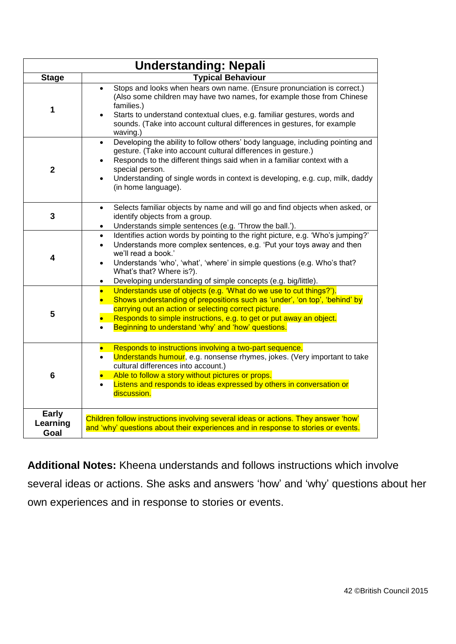|                                  | <b>Understanding: Nepali</b>                                                                                                                                                                                                                                                                                                                                                                     |
|----------------------------------|--------------------------------------------------------------------------------------------------------------------------------------------------------------------------------------------------------------------------------------------------------------------------------------------------------------------------------------------------------------------------------------------------|
| <b>Stage</b>                     | <b>Typical Behaviour</b>                                                                                                                                                                                                                                                                                                                                                                         |
| 1                                | Stops and looks when hears own name. (Ensure pronunciation is correct.)<br>(Also some children may have two names, for example those from Chinese<br>families.)<br>Starts to understand contextual clues, e.g. familiar gestures, words and<br>sounds. (Take into account cultural differences in gestures, for example<br>waving.)                                                              |
| $\overline{2}$                   | Developing the ability to follow others' body language, including pointing and<br>$\bullet$<br>gesture. (Take into account cultural differences in gesture.)<br>Responds to the different things said when in a familiar context with a<br>special person.<br>Understanding of single words in context is developing, e.g. cup, milk, daddy<br>(in home language).                               |
| $\overline{\mathbf{3}}$          | Selects familiar objects by name and will go and find objects when asked, or<br>$\bullet$<br>identify objects from a group.<br>Understands simple sentences (e.g. 'Throw the ball.').<br>٠                                                                                                                                                                                                       |
| $\overline{\mathbf{4}}$          | Identifies action words by pointing to the right picture, e.g. 'Who's jumping?'<br>$\bullet$<br>Understands more complex sentences, e.g. 'Put your toys away and then<br>$\bullet$<br>we'll read a book.'<br>Understands 'who', 'what', 'where' in simple questions (e.g. Who's that?<br>$\bullet$<br>What's that? Where is?).<br>Developing understanding of simple concepts (e.g. big/little). |
| 5                                | Understands use of objects (e.g. 'What do we use to cut things?').<br>$\bullet$<br>Shows understanding of prepositions such as 'under', 'on top', 'behind' by<br>carrying out an action or selecting correct picture.<br>Responds to simple instructions, e.g. to get or put away an object.<br>Beginning to understand 'why' and 'how' questions.                                               |
| 6                                | Responds to instructions involving a two-part sequence.<br>Understands humour, e.g. nonsense rhymes, jokes. (Very important to take<br>cultural differences into account.)<br>Able to follow a story without pictures or props.<br>Listens and responds to ideas expressed by others in conversation or<br>$\bullet$<br>discussion.                                                              |
| <b>Early</b><br>Learning<br>Goal | Children follow instructions involving several ideas or actions. They answer 'how'<br>and 'why' questions about their experiences and in response to stories or events.                                                                                                                                                                                                                          |

**Additional Notes:** Kheena understands and follows instructions which involve several ideas or actions. She asks and answers 'how' and 'why' questions about her own experiences and in response to stories or events.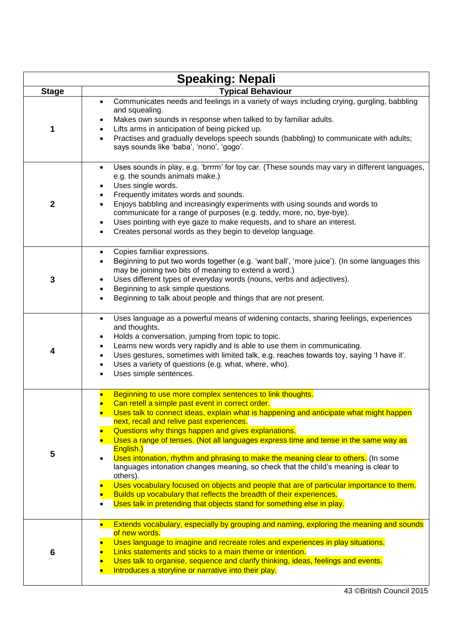|                 | <b>Speaking: Nepali</b>                                                                                                                                                                                                                                                                                                                                                                                                                                                                                                                                                                                                                                                                                                                                                                                                                                              |
|-----------------|----------------------------------------------------------------------------------------------------------------------------------------------------------------------------------------------------------------------------------------------------------------------------------------------------------------------------------------------------------------------------------------------------------------------------------------------------------------------------------------------------------------------------------------------------------------------------------------------------------------------------------------------------------------------------------------------------------------------------------------------------------------------------------------------------------------------------------------------------------------------|
| <b>Stage</b>    | <b>Typical Behaviour</b>                                                                                                                                                                                                                                                                                                                                                                                                                                                                                                                                                                                                                                                                                                                                                                                                                                             |
| 1               | Communicates needs and feelings in a variety of ways including crying, gurgling, babbling<br>$\bullet$<br>and squealing.<br>Makes own sounds in response when talked to by familiar adults.<br>Lifts arms in anticipation of being picked up.<br>Practises and gradually develops speech sounds (babbling) to communicate with adults;<br>$\bullet$<br>says sounds like 'baba', 'nono', 'gogo'.                                                                                                                                                                                                                                                                                                                                                                                                                                                                      |
| $\mathbf{2}$    | Uses sounds in play, e.g. 'brrrm' for toy car. (These sounds may vary in different languages,<br>$\bullet$<br>e.g. the sounds animals make.)<br>Uses single words.<br>$\bullet$<br>Frequently imitates words and sounds.<br>Enjoys babbling and increasingly experiments with using sounds and words to<br>communicate for a range of purposes (e.g. teddy, more, no, bye-bye).<br>Uses pointing with eye gaze to make requests, and to share an interest.<br>$\bullet$<br>Creates personal words as they begin to develop language.<br>$\bullet$                                                                                                                                                                                                                                                                                                                    |
| 3               | Copies familiar expressions.<br>$\bullet$<br>Beginning to put two words together (e.g. 'want ball', 'more juice'). (In some languages this<br>$\bullet$<br>may be joining two bits of meaning to extend a word.)<br>Uses different types of everyday words (nouns, verbs and adjectives).<br>$\bullet$<br>Beginning to ask simple questions.<br>$\bullet$<br>Beginning to talk about people and things that are not present.<br>$\bullet$                                                                                                                                                                                                                                                                                                                                                                                                                            |
| 4               | Uses language as a powerful means of widening contacts, sharing feelings, experiences<br>$\bullet$<br>and thoughts.<br>Holds a conversation, jumping from topic to topic.<br>٠<br>Learns new words very rapidly and is able to use them in communicating.<br>$\bullet$<br>Uses gestures, sometimes with limited talk, e.g. reaches towards toy, saying 'I have it'.<br>$\bullet$<br>Uses a variety of questions (e.g. what, where, who).<br>$\bullet$<br>Uses simple sentences.<br>$\bullet$                                                                                                                                                                                                                                                                                                                                                                         |
| 5               | Beginning to use more complex sentences to link thoughts.<br>Can retell a simple past event in correct order.<br>Uses talk to connect ideas, explain what is happening and anticipate what might happen<br>next, recall and relive past experiences.<br>Questions why things happen and gives explanations.<br>Uses a range of tenses. (Not all languages express time and tense in the same way as<br>English.)<br>Uses intonation, rhythm and phrasing to make the meaning clear to others. (In some<br>languages intonation changes meaning, so check that the child's meaning is clear to<br>others).<br>Uses vocabulary focused on objects and people that are of particular importance to them.<br>Builds up vocabulary that reflects the breadth of their experiences.<br>Uses talk in pretending that objects stand for something else in play.<br>$\bullet$ |
| $6\phantom{1}6$ | Extends vocabulary, especially by grouping and naming, exploring the meaning and sounds<br>of new words.<br>Uses language to imagine and recreate roles and experiences in play situations.<br>Links statements and sticks to a main theme or intention.<br>Uses talk to organise, sequence and clarify thinking, ideas, feelings and events.<br>Introduces a storyline or narrative into their play.                                                                                                                                                                                                                                                                                                                                                                                                                                                                |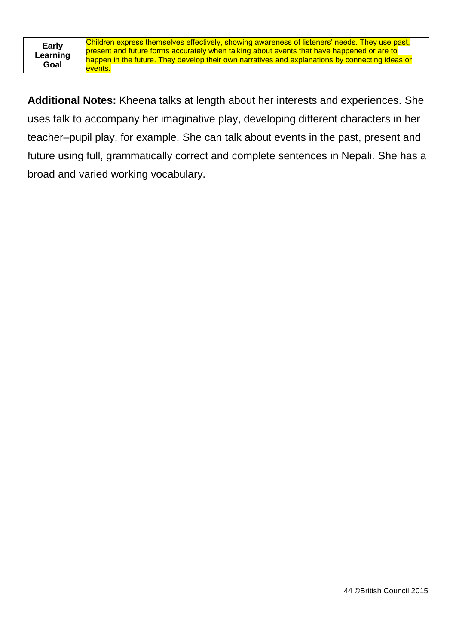| <b>Early</b> |
|--------------|
| Learning     |
| Goal         |

**Additional Notes:** Kheena talks at length about her interests and experiences. She uses talk to accompany her imaginative play, developing different characters in her teacher–pupil play, for example. She can talk about events in the past, present and future using full, grammatically correct and complete sentences in Nepali. She has a broad and varied working vocabulary.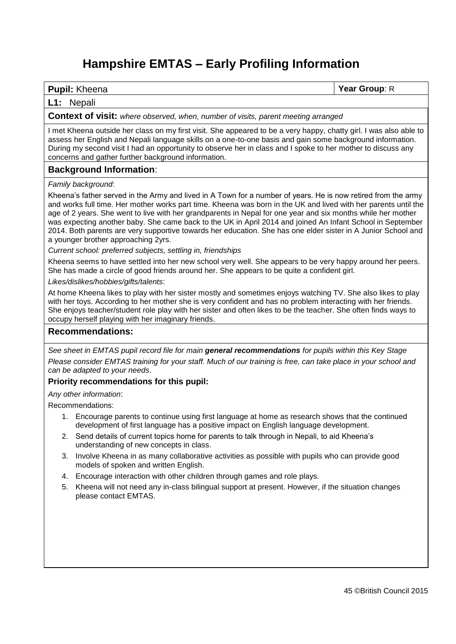### **Hampshire EMTAS – Early Profiling Information**

#### **Pupil:** Kheena **Year Group**: R

#### **L1:** Nepali

#### **Context of visit:** *where observed, when, number of visits, parent meeting arranged*

I met Kheena outside her class on my first visit. She appeared to be a very happy, chatty girl. I was also able to assess her English and Nepali language skills on a one-to-one basis and gain some background information. During my second visit I had an opportunity to observe her in class and I spoke to her mother to discuss any concerns and gather further background information.

#### **Background Information**:

#### *Family background*:

Kheena's father served in the Army and lived in A Town for a number of years. He is now retired from the army and works full time. Her mother works part time. Kheena was born in the UK and lived with her parents until the age of 2 years. She went to live with her grandparents in Nepal for one year and six months while her mother was expecting another baby. She came back to the UK in April 2014 and joined An Infant School in September 2014. Both parents are very supportive towards her education. She has one elder sister in A Junior School and a younger brother approaching 2yrs.

*Current school: preferred subjects, settling in, friendships*

Kheena seems to have settled into her new school very well. She appears to be very happy around her peers. She has made a circle of good friends around her. She appears to be quite a confident girl.

*Likes/dislikes/hobbies/gifts/talents*:

At home Kheena likes to play with her sister mostly and sometimes enjoys watching TV. She also likes to play with her toys. According to her mother she is very confident and has no problem interacting with her friends. She enjoys teacher/student role play with her sister and often likes to be the teacher. She often finds ways to occupy herself playing with her imaginary friends.

#### **Recommendations:**

*See sheet in EMTAS pupil record file for main general recommendations for pupils within this Key Stage* Please consider EMTAS training for your staff. Much of our training is free, can take place in your school and *can be adapted to your needs*.

#### **Priority recommendations for this pupil:**

*Any other information*:

Recommendations:

- 1. Encourage parents to continue using first language at home as research shows that the continued development of first language has a positive impact on English language development.
- 2. Send details of current topics home for parents to talk through in Nepali, to aid Kheena's understanding of new concepts in class.
- 3. Involve Kheena in as many collaborative activities as possible with pupils who can provide good models of spoken and written English.
- 4. Encourage interaction with other children through games and role plays.
- 5. Kheena will not need any in-class bilingual support at present. However, if the situation changes please contact EMTAS.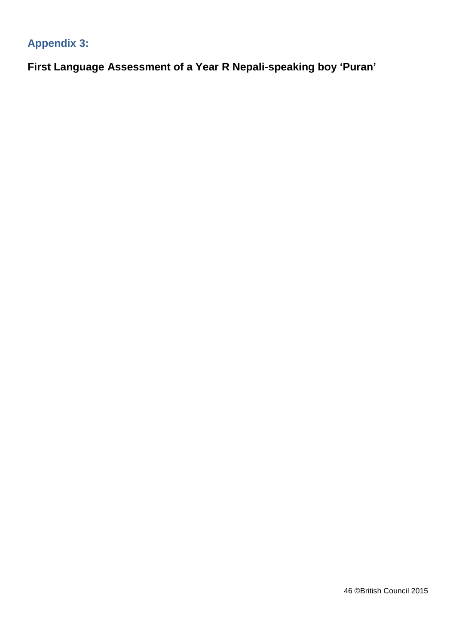### **Appendix 3:**

**First Language Assessment of a Year R Nepali-speaking boy 'Puran'**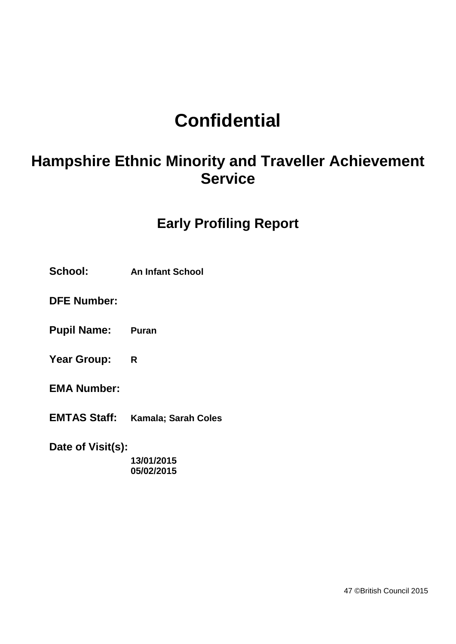## **Confidential**

## **Hampshire Ethnic Minority and Traveller Achievement Service**

### **Early Profiling Report**

**School: An Infant School**

**DFE Number:**

**Pupil Name: Puran** 

**Year Group: R**

**EMA Number:**

**EMTAS Staff: Kamala; Sarah Coles**

**Date of Visit(s):**

**13/01/2015 05/02/2015**

47 ©British Council 2015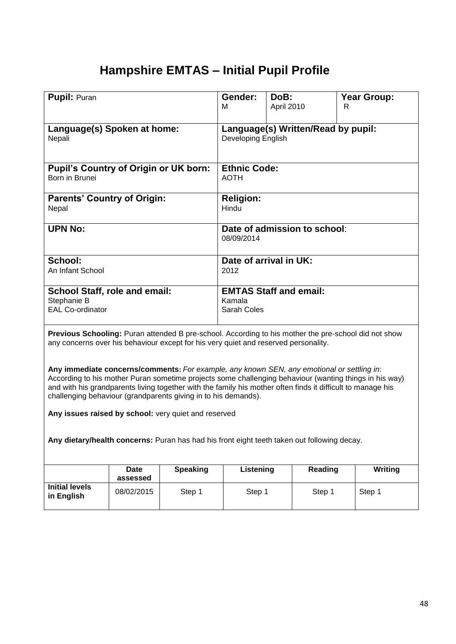### **Hampshire EMTAS – Initial Pupil Profile**

| <b>Pupil: Puran</b>                          | Gender:             | DoB:                               | <b>Year Group:</b> |
|----------------------------------------------|---------------------|------------------------------------|--------------------|
|                                              | м                   | April 2010                         | R                  |
|                                              |                     |                                    |                    |
|                                              |                     |                                    |                    |
| Language(s) Spoken at home:                  |                     | Language(s) Written/Read by pupil: |                    |
| Nepali                                       | Developing English  |                                    |                    |
|                                              |                     |                                    |                    |
|                                              |                     |                                    |                    |
|                                              |                     |                                    |                    |
| <b>Pupil's Country of Origin or UK born:</b> | <b>Ethnic Code:</b> |                                    |                    |
| Born in Brunei                               | <b>AOTH</b>         |                                    |                    |
|                                              |                     |                                    |                    |
| <b>Parents' Country of Origin:</b>           | <b>Religion:</b>    |                                    |                    |
|                                              | Hindu               |                                    |                    |
| Nepal                                        |                     |                                    |                    |
|                                              |                     |                                    |                    |
| <b>UPN No:</b>                               |                     | Date of admission to school:       |                    |
|                                              | 08/09/2014          |                                    |                    |
|                                              |                     |                                    |                    |
| School:                                      |                     | Date of arrival in UK:             |                    |
|                                              |                     |                                    |                    |
| An Infant School                             | 2012                |                                    |                    |
|                                              |                     |                                    |                    |
| <b>School Staff, role and email:</b>         |                     | <b>EMTAS Staff and email:</b>      |                    |
| Stephanie B                                  | Kamala              |                                    |                    |
| <b>EAL Co-ordinator</b>                      | Sarah Coles         |                                    |                    |
|                                              |                     |                                    |                    |
|                                              |                     |                                    |                    |

**Previous Schooling:** Puran attended B pre-school. According to his mother the pre-school did not show any concerns over his behaviour except for his very quiet and reserved personality.

**Any immediate concerns/comments:** *For example, any known SEN, any emotional or settling in*: According to his mother Puran sometime projects some challenging behaviour (wanting things in his way) and with his grandparents living together with the family his mother often finds it difficult to manage his challenging behaviour (grandparents giving in to his demands).

**Any issues raised by school:** very quiet and reserved

**Any dietary/health concerns:** Puran has had his front eight teeth taken out following decay.

|                                     | <b>Date</b><br>assessed | <b>Speaking</b> | Listening | Reading | Writing |
|-------------------------------------|-------------------------|-----------------|-----------|---------|---------|
| <b>Initial levels</b><br>in English | 08/02/2015              | Step 1          | Step 1    | Step 1  | Step 1  |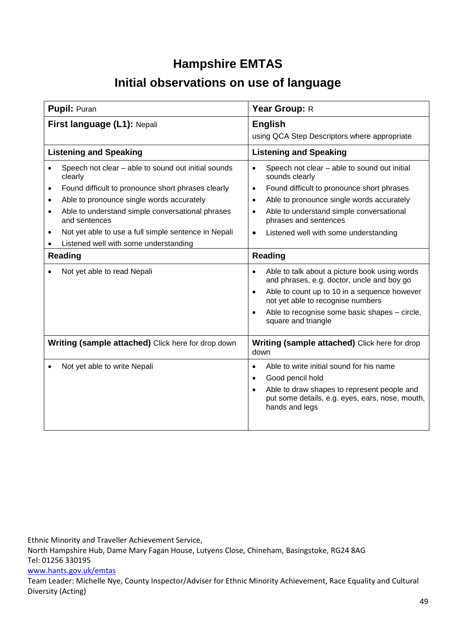### **Hampshire EMTAS**

### **Initial observations on use of language**

| <b>Pupil: Puran</b>                                                                                                                                                                                                                                                                                                                                                                                                                                       | Year Group: R                                                                                                                                                                                                                                                                                                                                                                                                                                                                                                                                                                                                          |  |  |
|-----------------------------------------------------------------------------------------------------------------------------------------------------------------------------------------------------------------------------------------------------------------------------------------------------------------------------------------------------------------------------------------------------------------------------------------------------------|------------------------------------------------------------------------------------------------------------------------------------------------------------------------------------------------------------------------------------------------------------------------------------------------------------------------------------------------------------------------------------------------------------------------------------------------------------------------------------------------------------------------------------------------------------------------------------------------------------------------|--|--|
| First language (L1): Nepali                                                                                                                                                                                                                                                                                                                                                                                                                               | <b>English</b><br>using QCA Step Descriptors where appropriate                                                                                                                                                                                                                                                                                                                                                                                                                                                                                                                                                         |  |  |
| <b>Listening and Speaking</b>                                                                                                                                                                                                                                                                                                                                                                                                                             | <b>Listening and Speaking</b>                                                                                                                                                                                                                                                                                                                                                                                                                                                                                                                                                                                          |  |  |
| Speech not clear - able to sound out initial sounds<br>$\bullet$<br>clearly<br>Found difficult to pronounce short phrases clearly<br>$\bullet$<br>Able to pronounce single words accurately<br>$\bullet$<br>Able to understand simple conversational phrases<br>$\bullet$<br>and sentences<br>Not yet able to use a full simple sentence in Nepali<br>$\bullet$<br>Listened well with some understanding<br><b>Reading</b><br>Not yet able to read Nepali | Speech not clear - able to sound out initial<br>$\bullet$<br>sounds clearly<br>Found difficult to pronounce short phrases<br>$\bullet$<br>Able to pronounce single words accurately<br>$\bullet$<br>Able to understand simple conversational<br>phrases and sentences<br>Listened well with some understanding<br><b>Reading</b><br>Able to talk about a picture book using words<br>$\bullet$<br>and phrases, e.g. doctor, uncle and boy go<br>Able to count up to 10 in a sequence however<br>not yet able to recognise numbers<br>Able to recognise some basic shapes - circle,<br>$\bullet$<br>square and triangle |  |  |
| Writing (sample attached) Click here for drop down                                                                                                                                                                                                                                                                                                                                                                                                        | <b>Writing (sample attached)</b> Click here for drop<br>down                                                                                                                                                                                                                                                                                                                                                                                                                                                                                                                                                           |  |  |
| Not yet able to write Nepali                                                                                                                                                                                                                                                                                                                                                                                                                              | Able to write initial sound for his name<br>$\bullet$<br>Good pencil hold<br>$\bullet$<br>Able to draw shapes to represent people and<br>put some details, e.g. eyes, ears, nose, mouth,<br>hands and legs                                                                                                                                                                                                                                                                                                                                                                                                             |  |  |

Ethnic Minority and Traveller Achievement Service,

North Hampshire Hub, Dame Mary Fagan House, Lutyens Close, Chineham, Basingstoke, RG24 8AG Tel: 01256 330195

#### [www.hants.gov.uk/emtas](http://www.hants.gov.uk/emtas)

Team Leader: Michelle Nye, County Inspector/Adviser for Ethnic Minority Achievement, Race Equality and Cultural Diversity (Acting)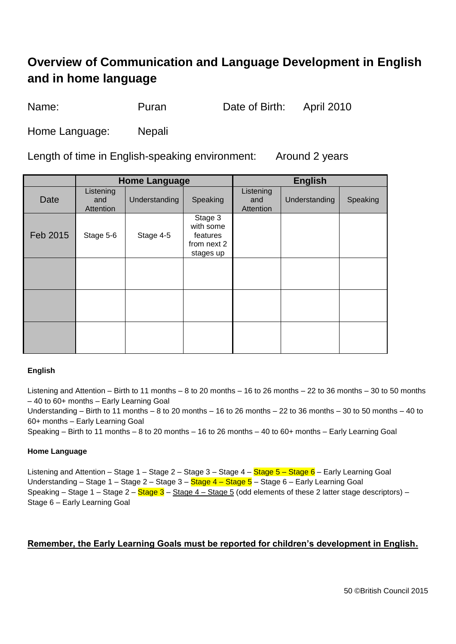### **Overview of Communication and Language Development in English and in home language**

Name: Puran Date of Birth: April 2010

Home Language: Nepali

Length of time in English-speaking environment: Around 2 years

|          | <b>Home Language</b>          |               |                                                              | <b>English</b>                |               |          |
|----------|-------------------------------|---------------|--------------------------------------------------------------|-------------------------------|---------------|----------|
| Date     | Listening<br>and<br>Attention | Understanding | Speaking                                                     | Listening<br>and<br>Attention | Understanding | Speaking |
| Feb 2015 | Stage 5-6                     | Stage 4-5     | Stage 3<br>with some<br>features<br>from next 2<br>stages up |                               |               |          |
|          |                               |               |                                                              |                               |               |          |
|          |                               |               |                                                              |                               |               |          |
|          |                               |               |                                                              |                               |               |          |

#### **English**

Listening and Attention – Birth to 11 months – 8 to 20 months – 16 to 26 months – 22 to 36 months – 30 to 50 months – 40 to 60+ months – Early Learning Goal

Understanding – Birth to 11 months – 8 to 20 months – 16 to 26 months – 22 to 36 months – 30 to 50 months – 40 to 60+ months – Early Learning Goal

Speaking – Birth to 11 months – 8 to 20 months – 16 to 26 months – 40 to 60+ months – Early Learning Goal

#### **Home Language**

Listening and Attention – Stage 1 – Stage 2 – Stage 3 – Stage 4 – Stage 5 – Stage 6 – Early Learning Goal Understanding – Stage 1 – Stage 2 – Stage 3 – Stage 4 – Stage 5 – Stage 6 – Early Learning Goal Speaking – Stage 1 – Stage 2 –  $S$ tage 3 – Stage 4 – Stage 5 (odd elements of these 2 latter stage descriptors) – Stage 6 – Early Learning Goal

#### **Remember, the Early Learning Goals must be reported for children's development in English.**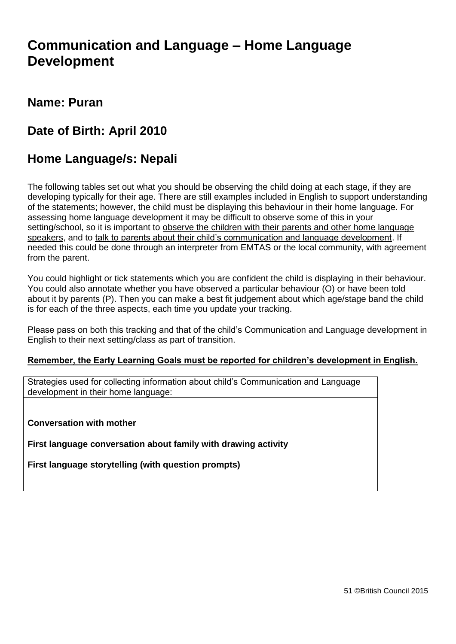### **Communication and Language – Home Language Development**

#### **Name: Puran**

### **Date of Birth: April 2010**

### **Home Language/s: Nepali**

The following tables set out what you should be observing the child doing at each stage, if they are developing typically for their age. There are still examples included in English to support understanding of the statements; however, the child must be displaying this behaviour in their home language. For assessing home language development it may be difficult to observe some of this in your setting/school, so it is important to observe the children with their parents and other home language speakers, and to talk to parents about their child's communication and language development. If needed this could be done through an interpreter from EMTAS or the local community, with agreement from the parent.

You could highlight or tick statements which you are confident the child is displaying in their behaviour. You could also annotate whether you have observed a particular behaviour (O) or have been told about it by parents (P). Then you can make a best fit judgement about which age/stage band the child is for each of the three aspects, each time you update your tracking.

Please pass on both this tracking and that of the child's Communication and Language development in English to their next setting/class as part of transition.

#### **Remember, the Early Learning Goals must be reported for children's development in English.**

Strategies used for collecting information about child's Communication and Language development in their home language:

**Conversation with mother**

**First language conversation about family with drawing activity**

**First language storytelling (with question prompts)**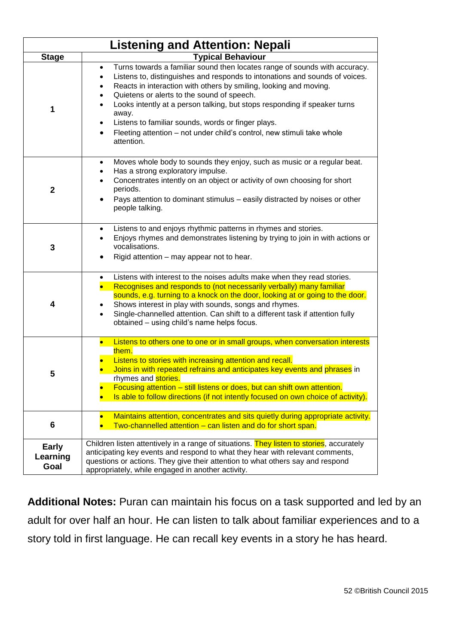|                                  | <b>Listening and Attention: Nepali</b>                                                                                                                                                                                                                                                                                                                                                                                                                                                                                        |
|----------------------------------|-------------------------------------------------------------------------------------------------------------------------------------------------------------------------------------------------------------------------------------------------------------------------------------------------------------------------------------------------------------------------------------------------------------------------------------------------------------------------------------------------------------------------------|
| <b>Stage</b>                     | <b>Typical Behaviour</b>                                                                                                                                                                                                                                                                                                                                                                                                                                                                                                      |
| 1                                | Turns towards a familiar sound then locates range of sounds with accuracy.<br>$\bullet$<br>Listens to, distinguishes and responds to intonations and sounds of voices.<br>Reacts in interaction with others by smiling, looking and moving.<br>Quietens or alerts to the sound of speech.<br>Looks intently at a person talking, but stops responding if speaker turns<br>away.<br>Listens to familiar sounds, words or finger plays.<br>Fleeting attention - not under child's control, new stimuli take whole<br>attention. |
| $\mathbf{2}$                     | Moves whole body to sounds they enjoy, such as music or a regular beat.<br>٠<br>Has a strong exploratory impulse.<br>Concentrates intently on an object or activity of own choosing for short<br>$\bullet$<br>periods.<br>Pays attention to dominant stimulus - easily distracted by noises or other<br>$\bullet$<br>people talking.                                                                                                                                                                                          |
| 3                                | Listens to and enjoys rhythmic patterns in rhymes and stories.<br>$\bullet$<br>Enjoys rhymes and demonstrates listening by trying to join in with actions or<br>vocalisations.<br>Rigid attention - may appear not to hear.                                                                                                                                                                                                                                                                                                   |
| 4                                | Listens with interest to the noises adults make when they read stories.<br>$\bullet$<br>Recognises and responds to (not necessarily verbally) many familiar<br>sounds, e.g. turning to a knock on the door, looking at or going to the door.<br>Shows interest in play with sounds, songs and rhymes.<br>Single-channelled attention. Can shift to a different task if attention fully<br>$\bullet$<br>obtained - using child's name helps focus.                                                                             |
| 5                                | Listens to others one to one or in small groups, when conversation interests<br>$\bullet$<br>them.<br>Listens to stories with increasing attention and recall.<br>Joins in with repeated refrains and anticipates key events and phrases in<br>rhymes and <b>stories.</b><br>Focusing attention - still listens or does, but can shift own attention.<br>Is able to follow directions (if not intently focused on own choice of activity).                                                                                    |
| 6                                | Maintains attention, concentrates and sits quietly during appropriate activity.<br>Two-channelled attention - can listen and do for short span.                                                                                                                                                                                                                                                                                                                                                                               |
| <b>Early</b><br>Learning<br>Goal | Children listen attentively in a range of situations. They listen to stories, accurately<br>anticipating key events and respond to what they hear with relevant comments,<br>questions or actions. They give their attention to what others say and respond<br>appropriately, while engaged in another activity.                                                                                                                                                                                                              |

**Additional Notes:** Puran can maintain his focus on a task supported and led by an adult for over half an hour. He can listen to talk about familiar experiences and to a story told in first language. He can recall key events in a story he has heard.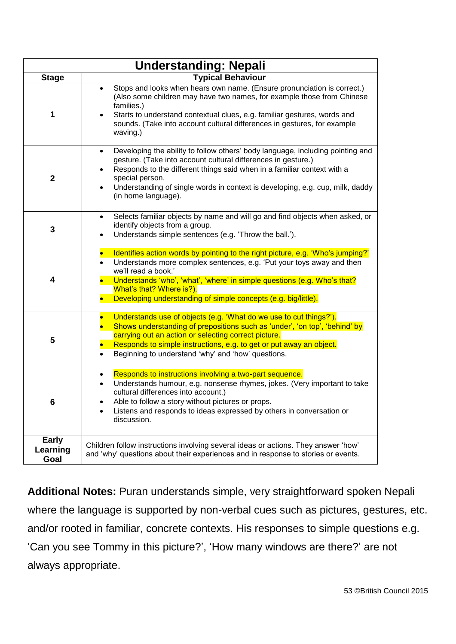|                                  | <b>Understanding: Nepali</b>                                                                                                                                                                                                                                                                                                                                            |
|----------------------------------|-------------------------------------------------------------------------------------------------------------------------------------------------------------------------------------------------------------------------------------------------------------------------------------------------------------------------------------------------------------------------|
| <b>Stage</b>                     | <b>Typical Behaviour</b>                                                                                                                                                                                                                                                                                                                                                |
| 1                                | Stops and looks when hears own name. (Ensure pronunciation is correct.)<br>$\bullet$<br>(Also some children may have two names, for example those from Chinese<br>families.)<br>Starts to understand contextual clues, e.g. familiar gestures, words and<br>sounds. (Take into account cultural differences in gestures, for example<br>waving.)                        |
| $\mathbf{2}$                     | Developing the ability to follow others' body language, including pointing and<br>٠<br>gesture. (Take into account cultural differences in gesture.)<br>Responds to the different things said when in a familiar context with a<br>special person.<br>Understanding of single words in context is developing, e.g. cup, milk, daddy<br>$\bullet$<br>(in home language). |
| $\mathbf{3}$                     | Selects familiar objects by name and will go and find objects when asked, or<br>$\bullet$<br>identify objects from a group.<br>Understands simple sentences (e.g. 'Throw the ball.').<br>$\bullet$                                                                                                                                                                      |
| $\overline{\mathbf{4}}$          | Identifies action words by pointing to the right picture, e.g. 'Who's jumping?'<br>$\bullet$<br>Understands more complex sentences, e.g. 'Put your toys away and then<br>we'll read a book.'<br>Understands 'who', 'what', 'where' in simple questions (e.g. Who's that?<br>What's that? Where is?).<br>Developing understanding of simple concepts (e.g. big/little).  |
| 5                                | Understands use of objects (e.g. 'What do we use to cut things?').<br>$\bullet$<br>Shows understanding of prepositions such as 'under', 'on top', 'behind' by<br>carrying out an action or selecting correct picture.<br>Responds to simple instructions, e.g. to get or put away an object.<br>Beginning to understand 'why' and 'how' questions.                      |
| 6                                | Responds to instructions involving a two-part sequence.<br>Understands humour, e.g. nonsense rhymes, jokes. (Very important to take<br>$\bullet$<br>cultural differences into account.)<br>Able to follow a story without pictures or props.<br>Listens and responds to ideas expressed by others in conversation or<br>discussion.                                     |
| <b>Early</b><br>Learning<br>Goal | Children follow instructions involving several ideas or actions. They answer 'how'<br>and 'why' questions about their experiences and in response to stories or events.                                                                                                                                                                                                 |

**Additional Notes:** Puran understands simple, very straightforward spoken Nepali where the language is supported by non-verbal cues such as pictures, gestures, etc. and/or rooted in familiar, concrete contexts. His responses to simple questions e.g. 'Can you see Tommy in this picture?', 'How many windows are there?' are not always appropriate.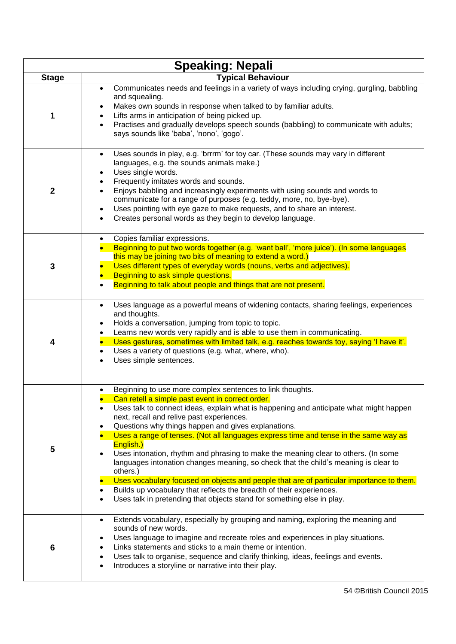|              | <b>Speaking: Nepali</b>                                                                                                                                                                                                                                                                                                                                                                                                                                                                                                                                                                                                                                                                                                                                                                                                                                              |
|--------------|----------------------------------------------------------------------------------------------------------------------------------------------------------------------------------------------------------------------------------------------------------------------------------------------------------------------------------------------------------------------------------------------------------------------------------------------------------------------------------------------------------------------------------------------------------------------------------------------------------------------------------------------------------------------------------------------------------------------------------------------------------------------------------------------------------------------------------------------------------------------|
| <b>Stage</b> | <b>Typical Behaviour</b>                                                                                                                                                                                                                                                                                                                                                                                                                                                                                                                                                                                                                                                                                                                                                                                                                                             |
| 1            | Communicates needs and feelings in a variety of ways including crying, gurgling, babbling<br>$\bullet$<br>and squealing.<br>Makes own sounds in response when talked to by familiar adults.<br>Lifts arms in anticipation of being picked up.<br>Practises and gradually develops speech sounds (babbling) to communicate with adults;<br>says sounds like 'baba', 'nono', 'gogo'.                                                                                                                                                                                                                                                                                                                                                                                                                                                                                   |
| $\mathbf{2}$ | Uses sounds in play, e.g. 'brrrm' for toy car. (These sounds may vary in different<br>$\bullet$<br>languages, e.g. the sounds animals make.)<br>Uses single words.<br>Frequently imitates words and sounds.<br>Enjoys babbling and increasingly experiments with using sounds and words to<br>communicate for a range of purposes (e.g. teddy, more, no, bye-bye).<br>Uses pointing with eye gaze to make requests, and to share an interest.<br>Creates personal words as they begin to develop language.                                                                                                                                                                                                                                                                                                                                                           |
| 3            | Copies familiar expressions.<br>Beginning to put two words together (e.g. 'want ball', 'more juice'). (In some languages<br>this may be joining two bits of meaning to extend a word.)<br>Uses different types of everyday words (nouns, verbs and adjectives).<br>Beginning to ask simple questions.<br>Beginning to talk about people and things that are not present.                                                                                                                                                                                                                                                                                                                                                                                                                                                                                             |
| 4            | Uses language as a powerful means of widening contacts, sharing feelings, experiences<br>$\bullet$<br>and thoughts.<br>Holds a conversation, jumping from topic to topic.<br>Learns new words very rapidly and is able to use them in communicating.<br>Uses gestures, sometimes with limited talk, e.g. reaches towards toy, saying 'I have it'.<br>Uses a variety of questions (e.g. what, where, who).<br>Uses simple sentences.                                                                                                                                                                                                                                                                                                                                                                                                                                  |
| 5            | Beginning to use more complex sentences to link thoughts.<br>Can retell a simple past event in correct order.<br>Uses talk to connect ideas, explain what is happening and anticipate what might happen<br>$\bullet$<br>next, recall and relive past experiences.<br>Questions why things happen and gives explanations.<br>Uses a range of tenses. (Not all languages express time and tense in the same way as<br>English.)<br>Uses intonation, rhythm and phrasing to make the meaning clear to others. (In some<br>languages intonation changes meaning, so check that the child's meaning is clear to<br>others.)<br>Uses vocabulary focused on objects and people that are of particular importance to them.<br>Builds up vocabulary that reflects the breadth of their experiences.<br>Uses talk in pretending that objects stand for something else in play. |
| 6            | Extends vocabulary, especially by grouping and naming, exploring the meaning and<br>$\bullet$<br>sounds of new words.<br>Uses language to imagine and recreate roles and experiences in play situations.<br>Links statements and sticks to a main theme or intention.<br>Uses talk to organise, sequence and clarify thinking, ideas, feelings and events.<br>$\bullet$<br>Introduces a storyline or narrative into their play.<br>$\bullet$                                                                                                                                                                                                                                                                                                                                                                                                                         |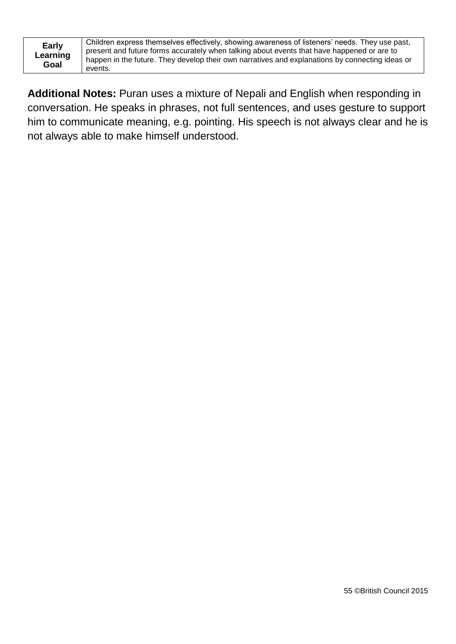| <b>Early</b> |
|--------------|
| Learning     |
| Goal         |

Children express themselves effectively, showing awareness of listeners' needs. They use past, present and future forms accurately when talking about events that have happened or are to happen in the future. They develop their own narratives and explanations by connecting ideas or events.

**Additional Notes:** Puran uses a mixture of Nepali and English when responding in conversation. He speaks in phrases, not full sentences, and uses gesture to support him to communicate meaning, e.g. pointing. His speech is not always clear and he is not always able to make himself understood.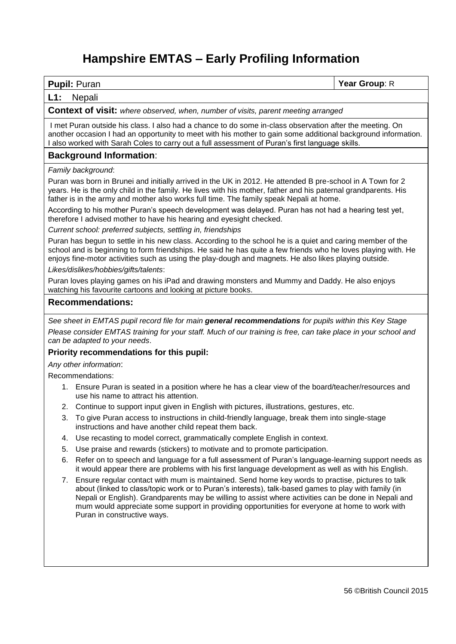### **Hampshire EMTAS – Early Profiling Information**

**Pupil:** Puran **Year Group**: R

#### **L1:** Nepali

**Context of visit:** *where observed, when, number of visits, parent meeting arranged*

I met Puran outside his class. I also had a chance to do some in-class observation after the meeting. On another occasion I had an opportunity to meet with his mother to gain some additional background information. I also worked with Sarah Coles to carry out a full assessment of Puran's first language skills.

#### **Background Information**:

*Family background*:

Puran was born in Brunei and initially arrived in the UK in 2012. He attended B pre-school in A Town for 2 years. He is the only child in the family. He lives with his mother, father and his paternal grandparents. His father is in the army and mother also works full time. The family speak Nepali at home.

According to his mother Puran's speech development was delayed. Puran has not had a hearing test yet, therefore I advised mother to have his hearing and eyesight checked.

*Current school: preferred subjects, settling in, friendships*

Puran has begun to settle in his new class. According to the school he is a quiet and caring member of the school and is beginning to form friendships. He said he has quite a few friends who he loves playing with. He enjoys fine-motor activities such as using the play-dough and magnets. He also likes playing outside.

*Likes/dislikes/hobbies/gifts/talents*:

Puran loves playing games on his iPad and drawing monsters and Mummy and Daddy. He also enjoys watching his favourite cartoons and looking at picture books.

#### **Recommendations:**

*See sheet in EMTAS pupil record file for main general recommendations for pupils within this Key Stage Please consider EMTAS training for your staff. Much of our training is free, can take place in your school and can be adapted to your needs*.

#### **Priority recommendations for this pupil:**

*Any other information*:

Recommendations:

- 1. Ensure Puran is seated in a position where he has a clear view of the board/teacher/resources and use his name to attract his attention.
- 2. Continue to support input given in English with pictures, illustrations, gestures, etc.
- 3. To give Puran access to instructions in child-friendly language, break them into single-stage instructions and have another child repeat them back.
- 4. Use recasting to model correct, grammatically complete English in context.
- 5. Use praise and rewards (stickers) to motivate and to promote participation.
- 6. Refer on to speech and language for a full assessment of Puran's language-learning support needs as it would appear there are problems with his first language development as well as with his English.
- 7. Ensure regular contact with mum is maintained. Send home key words to practise, pictures to talk about (linked to class/topic work or to Puran's interests), talk-based games to play with family (in Nepali or English). Grandparents may be willing to assist where activities can be done in Nepali and mum would appreciate some support in providing opportunities for everyone at home to work with Puran in constructive ways.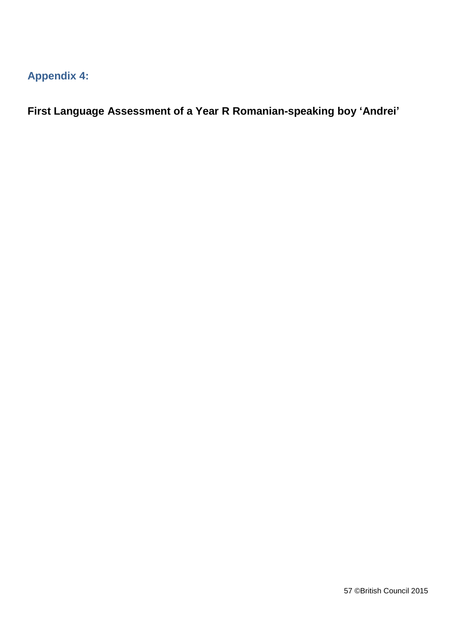### **Appendix 4:**

**First Language Assessment of a Year R Romanian-speaking boy 'Andrei'**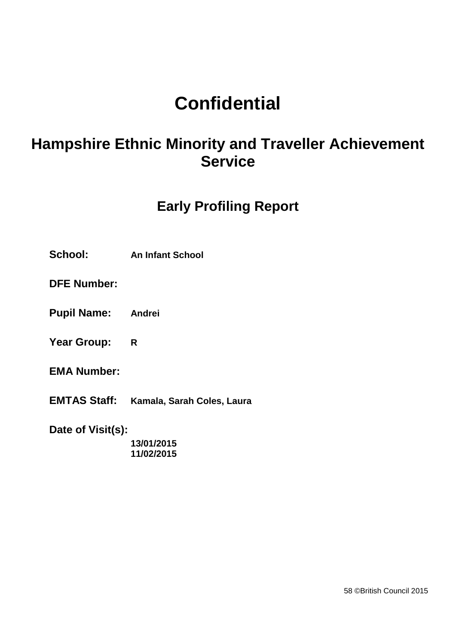# **Confidential**

## **Hampshire Ethnic Minority and Traveller Achievement Service**

### **Early Profiling Report**

**School: An Infant School**

**DFE Number:**

- **Pupil Name: Andrei**
- **Year Group: R**
- **EMA Number:**
- **EMTAS Staff: Kamala, Sarah Coles, Laura**

**Date of Visit(s):**

**13/01/2015 11/02/2015**

58 ©British Council 2015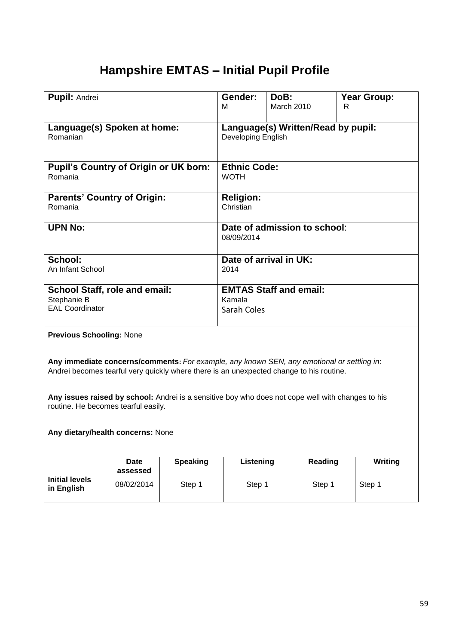### **Hampshire EMTAS – Initial Pupil Profile**

| <b>Pupil: Andrei</b>                                                                                                                                                                  |                         |                 | Gender:                                                         | DoB:              |                              | <b>Year Group:</b> |  |
|---------------------------------------------------------------------------------------------------------------------------------------------------------------------------------------|-------------------------|-----------------|-----------------------------------------------------------------|-------------------|------------------------------|--------------------|--|
|                                                                                                                                                                                       |                         |                 | м                                                               | <b>March 2010</b> |                              | R                  |  |
| Language(s) Spoken at home:<br>Romanian                                                                                                                                               |                         |                 | Language(s) Written/Read by pupil:<br><b>Developing English</b> |                   |                              |                    |  |
| <b>Pupil's Country of Origin or UK born:</b><br>Romania                                                                                                                               |                         |                 | <b>Ethnic Code:</b><br><b>WOTH</b>                              |                   |                              |                    |  |
| <b>Parents' Country of Origin:</b><br>Romania                                                                                                                                         |                         |                 | <b>Religion:</b><br>Christian                                   |                   |                              |                    |  |
| <b>UPN No:</b>                                                                                                                                                                        |                         |                 | 08/09/2014                                                      |                   | Date of admission to school: |                    |  |
| School:<br>An Infant School                                                                                                                                                           |                         |                 | Date of arrival in UK:<br>2014                                  |                   |                              |                    |  |
| <b>School Staff, role and email:</b><br>Stephanie B                                                                                                                                   |                         |                 | <b>EMTAS Staff and email:</b><br>Kamala                         |                   |                              |                    |  |
| <b>EAL Coordinator</b>                                                                                                                                                                |                         |                 | Sarah Coles                                                     |                   |                              |                    |  |
| <b>Previous Schooling: None</b>                                                                                                                                                       |                         |                 |                                                                 |                   |                              |                    |  |
| Any immediate concerns/comments: For example, any known SEN, any emotional or settling in:<br>Andrei becomes tearful very quickly where there is an unexpected change to his routine. |                         |                 |                                                                 |                   |                              |                    |  |
| Any issues raised by school: Andrei is a sensitive boy who does not cope well with changes to his<br>routine. He becomes tearful easily.                                              |                         |                 |                                                                 |                   |                              |                    |  |
| Any dietary/health concerns: None                                                                                                                                                     |                         |                 |                                                                 |                   |                              |                    |  |
|                                                                                                                                                                                       | <b>Date</b><br>assessed | <b>Speaking</b> | Listening                                                       |                   | <b>Reading</b>               | <b>Writing</b>     |  |
| <b>Initial levels</b><br>in English                                                                                                                                                   | 08/02/2014              | Step 1          | Step 1                                                          |                   | Step 1                       | Step 1             |  |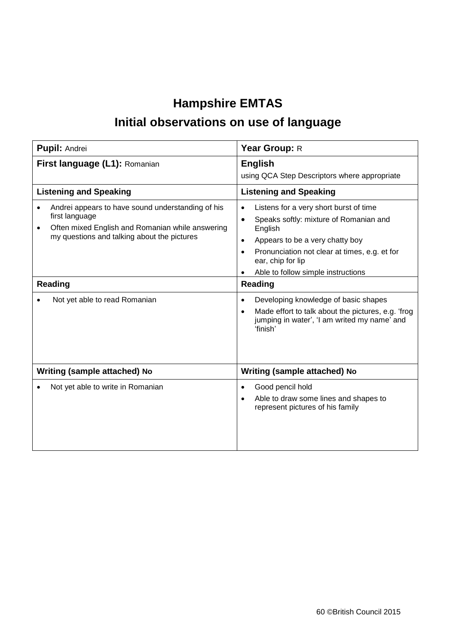### **Hampshire EMTAS Initial observations on use of language**

|                               | <b>Pupil: Andrei</b>                                                                                                                                                   | Year Group: R                                                                                                                                                                                                                                                                     |  |  |
|-------------------------------|------------------------------------------------------------------------------------------------------------------------------------------------------------------------|-----------------------------------------------------------------------------------------------------------------------------------------------------------------------------------------------------------------------------------------------------------------------------------|--|--|
| First language (L1): Romanian |                                                                                                                                                                        | <b>English</b><br>using QCA Step Descriptors where appropriate                                                                                                                                                                                                                    |  |  |
|                               | <b>Listening and Speaking</b>                                                                                                                                          | <b>Listening and Speaking</b>                                                                                                                                                                                                                                                     |  |  |
| $\bullet$<br>$\bullet$        | Andrei appears to have sound understanding of his<br>first language<br>Often mixed English and Romanian while answering<br>my questions and talking about the pictures | Listens for a very short burst of time<br>$\bullet$<br>Speaks softly: mixture of Romanian and<br>$\bullet$<br>English<br>Appears to be a very chatty boy<br>$\bullet$<br>Pronunciation not clear at times, e.g. et for<br>ear, chip for lip<br>Able to follow simple instructions |  |  |
| <b>Reading</b>                |                                                                                                                                                                        | <b>Reading</b>                                                                                                                                                                                                                                                                    |  |  |
|                               | Not yet able to read Romanian                                                                                                                                          | Developing knowledge of basic shapes<br>$\bullet$<br>Made effort to talk about the pictures, e.g. 'frog<br>$\bullet$<br>jumping in water', 'I am writed my name' and<br>'finish'                                                                                                  |  |  |
|                               | Writing (sample attached) No                                                                                                                                           | Writing (sample attached) No                                                                                                                                                                                                                                                      |  |  |
|                               | Not yet able to write in Romanian                                                                                                                                      | Good pencil hold<br>$\bullet$<br>Able to draw some lines and shapes to<br>represent pictures of his family                                                                                                                                                                        |  |  |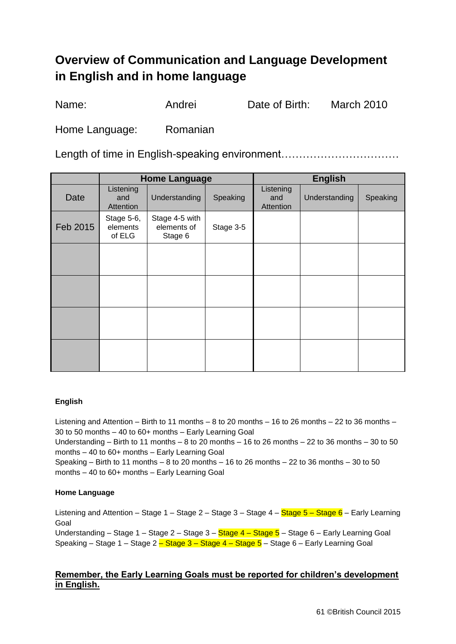### **Overview of Communication and Language Development in English and in home language**

Name: Andrei Date of Birth: March 2010

Home Language: Romanian

Length of time in English-speaking environment..................................

|          | <b>Home Language</b>             |                                          |           |                               | <b>English</b> |          |
|----------|----------------------------------|------------------------------------------|-----------|-------------------------------|----------------|----------|
| Date     | Listening<br>and<br>Attention    | Understanding                            | Speaking  | Listening<br>and<br>Attention | Understanding  | Speaking |
| Feb 2015 | Stage 5-6,<br>elements<br>of ELG | Stage 4-5 with<br>elements of<br>Stage 6 | Stage 3-5 |                               |                |          |
|          |                                  |                                          |           |                               |                |          |
|          |                                  |                                          |           |                               |                |          |
|          |                                  |                                          |           |                               |                |          |
|          |                                  |                                          |           |                               |                |          |

#### **English**

Listening and Attention – Birth to 11 months – 8 to 20 months – 16 to 26 months – 22 to 36 months – 30 to 50 months – 40 to 60+ months – Early Learning Goal Understanding – Birth to 11 months – 8 to 20 months – 16 to 26 months – 22 to 36 months – 30 to 50 months – 40 to 60+ months – Early Learning Goal Speaking – Birth to 11 months – 8 to 20 months – 16 to 26 months – 22 to 36 months – 30 to 50 months – 40 to 60+ months – Early Learning Goal

#### **Home Language**

Listening and Attention – Stage 1 – Stage 2 – Stage 3 – Stage 4 – Stage 5 – Stage 6 – Early Learning Goal

Understanding – Stage 1 – Stage 2 – Stage 3 – Stage 4 – Stage 5 – Stage 6 – Early Learning Goal Speaking – Stage 1 – Stage 2 – Stage 3 – Stage 4 – Stage  $5$  – Stage 6 – Early Learning Goal

#### **Remember, the Early Learning Goals must be reported for children's development in English.**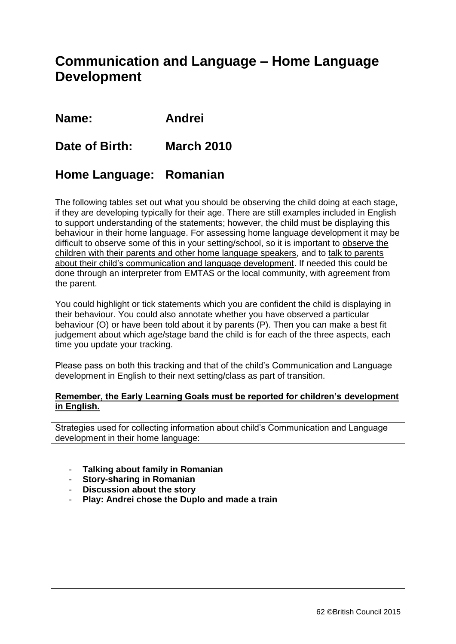### **Communication and Language – Home Language Development**

**Name: Andrei** 

#### **Date of Birth: March 2010**

#### **Home Language: Romanian**

The following tables set out what you should be observing the child doing at each stage, if they are developing typically for their age. There are still examples included in English to support understanding of the statements; however, the child must be displaying this behaviour in their home language. For assessing home language development it may be difficult to observe some of this in your setting/school, so it is important to observe the children with their parents and other home language speakers, and to talk to parents about their child's communication and language development. If needed this could be done through an interpreter from EMTAS or the local community, with agreement from the parent.

You could highlight or tick statements which you are confident the child is displaying in their behaviour. You could also annotate whether you have observed a particular behaviour (O) or have been told about it by parents (P). Then you can make a best fit judgement about which age/stage band the child is for each of the three aspects, each time you update your tracking.

Please pass on both this tracking and that of the child's Communication and Language development in English to their next setting/class as part of transition.

#### **Remember, the Early Learning Goals must be reported for children's development in English.**

Strategies used for collecting information about child's Communication and Language development in their home language:

- **Talking about family in Romanian**
- **Story-sharing in Romanian**
- **Discussion about the story**
- **Play: Andrei chose the Duplo and made a train**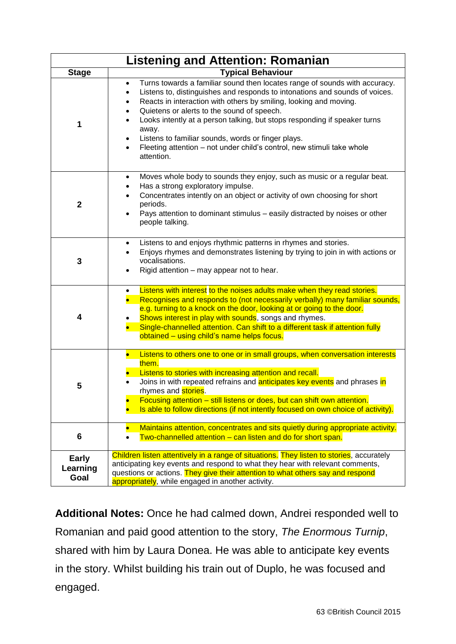|                                  | <b>Listening and Attention: Romanian</b>                                                                                                                                                                                                                                                                                                                                                                                                                                                                                                                               |
|----------------------------------|------------------------------------------------------------------------------------------------------------------------------------------------------------------------------------------------------------------------------------------------------------------------------------------------------------------------------------------------------------------------------------------------------------------------------------------------------------------------------------------------------------------------------------------------------------------------|
| <b>Stage</b>                     | <b>Typical Behaviour</b>                                                                                                                                                                                                                                                                                                                                                                                                                                                                                                                                               |
| 1                                | Turns towards a familiar sound then locates range of sounds with accuracy.<br>$\bullet$<br>Listens to, distinguishes and responds to intonations and sounds of voices.<br>Reacts in interaction with others by smiling, looking and moving.<br>٠<br>Quietens or alerts to the sound of speech.<br>٠<br>Looks intently at a person talking, but stops responding if speaker turns<br>$\bullet$<br>away.<br>Listens to familiar sounds, words or finger plays.<br>٠<br>Fleeting attention - not under child's control, new stimuli take whole<br>$\bullet$<br>attention. |
| $\mathbf 2$                      | Moves whole body to sounds they enjoy, such as music or a regular beat.<br>$\bullet$<br>Has a strong exploratory impulse.<br>$\bullet$<br>Concentrates intently on an object or activity of own choosing for short<br>$\bullet$<br>periods.<br>Pays attention to dominant stimulus - easily distracted by noises or other<br>$\bullet$<br>people talking.                                                                                                                                                                                                              |
| 3                                | Listens to and enjoys rhythmic patterns in rhymes and stories.<br>Enjoys rhymes and demonstrates listening by trying to join in with actions or<br>vocalisations.<br>Rigid attention – may appear not to hear.                                                                                                                                                                                                                                                                                                                                                         |
| 4                                | Listens with interest to the noises adults make when they read stories.<br>$\bullet$<br>Recognises and responds to (not necessarily verbally) many familiar sounds,<br>e.g. turning to a knock on the door, looking at or going to the door.<br>Shows interest in play with sounds, songs and rhymes.<br>Single-channelled attention. Can shift to a different task if attention fully<br>obtained – using child's name helps focus.                                                                                                                                   |
| 5                                | Listens to others one to one or in small groups, when conversation interests<br>$\bullet$<br>them.<br>Listens to stories with increasing attention and recall.<br>Joins in with repeated refrains and <b>anticipates key events</b> and phrases in<br>rhymes and stories.<br>Focusing attention - still listens or does, but can shift own attention.<br>Is able to follow directions (if not intently focused on own choice of activity).                                                                                                                             |
| 6                                | Maintains attention, concentrates and sits quietly during appropriate activity.<br>Two-channelled attention - can listen and do for short span.<br>$\bullet$                                                                                                                                                                                                                                                                                                                                                                                                           |
| <b>Early</b><br>Learning<br>Goal | Children listen attentively in a range of situations. They listen to stories, accurately<br>anticipating key events and respond to what they hear with relevant comments,<br>questions or actions. They give their attention to what others say and respond<br>appropriately, while engaged in another activity.                                                                                                                                                                                                                                                       |

**Additional Notes:** Once he had calmed down, Andrei responded well to Romanian and paid good attention to the story, *The Enormous Turnip*, shared with him by Laura Donea. He was able to anticipate key events in the story. Whilst building his train out of Duplo, he was focused and engaged.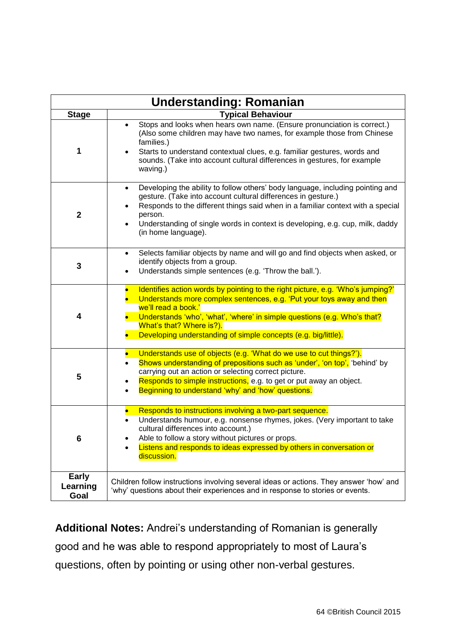|                                  | <b>Understanding: Romanian</b>                                                                                                                                                                                                                                                                                                                                         |
|----------------------------------|------------------------------------------------------------------------------------------------------------------------------------------------------------------------------------------------------------------------------------------------------------------------------------------------------------------------------------------------------------------------|
| <b>Stage</b>                     | <b>Typical Behaviour</b>                                                                                                                                                                                                                                                                                                                                               |
| 1                                | Stops and looks when hears own name. (Ensure pronunciation is correct.)<br>$\bullet$<br>(Also some children may have two names, for example those from Chinese<br>families.)<br>Starts to understand contextual clues, e.g. familiar gestures, words and<br>sounds. (Take into account cultural differences in gestures, for example<br>waving.)                       |
| $\mathbf 2$                      | Developing the ability to follow others' body language, including pointing and<br>$\bullet$<br>gesture. (Take into account cultural differences in gesture.)<br>Responds to the different things said when in a familiar context with a special<br>person.<br>Understanding of single words in context is developing, e.g. cup, milk, daddy<br>(in home language).     |
| 3                                | Selects familiar objects by name and will go and find objects when asked, or<br>$\bullet$<br>identify objects from a group.<br>Understands simple sentences (e.g. 'Throw the ball.').<br>$\bullet$                                                                                                                                                                     |
| 4                                | Identifies action words by pointing to the right picture, e.g. 'Who's jumping?'<br>$\bullet$<br>Understands more complex sentences, e.g. 'Put your toys away and then<br>we'll read a book.'<br>Understands 'who', 'what', 'where' in simple questions (e.g. Who's that?<br>What's that? Where is?).<br>Developing understanding of simple concepts (e.g. big/little). |
| 5                                | Understands use of objects (e.g. 'What do we use to cut things?').<br>$\bullet$<br>Shows understanding of prepositions such as 'under', 'on top', 'behind' by<br>$\bullet$<br>carrying out an action or selecting correct picture.<br>Responds to simple instructions, e.g. to get or put away an object.<br>Beginning to understand 'why' and 'how' questions.        |
| 6                                | Responds to instructions involving a two-part sequence.<br>Understands humour, e.g. nonsense rhymes, jokes. (Very important to take<br>cultural differences into account.)<br>Able to follow a story without pictures or props.<br>Listens and responds to ideas expressed by others in conversation or<br>discussion.                                                 |
| <b>Early</b><br>Learning<br>Goal | Children follow instructions involving several ideas or actions. They answer 'how' and<br>'why' questions about their experiences and in response to stories or events.                                                                                                                                                                                                |

**Additional Notes:** Andrei's understanding of Romanian is generally good and he was able to respond appropriately to most of Laura's questions, often by pointing or using other non-verbal gestures.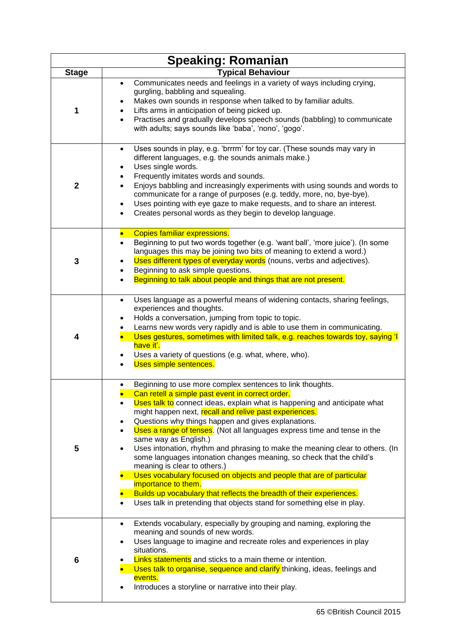|                | <b>Speaking: Romanian</b>                                                                                                                                                                                                                                                                                                                                                                                                                                                                                                                                                                                                                                                                                                                                                                                                                                                                              |
|----------------|--------------------------------------------------------------------------------------------------------------------------------------------------------------------------------------------------------------------------------------------------------------------------------------------------------------------------------------------------------------------------------------------------------------------------------------------------------------------------------------------------------------------------------------------------------------------------------------------------------------------------------------------------------------------------------------------------------------------------------------------------------------------------------------------------------------------------------------------------------------------------------------------------------|
| <b>Stage</b>   | <b>Typical Behaviour</b>                                                                                                                                                                                                                                                                                                                                                                                                                                                                                                                                                                                                                                                                                                                                                                                                                                                                               |
| 1              | Communicates needs and feelings in a variety of ways including crying,<br>$\bullet$<br>gurgling, babbling and squealing.<br>Makes own sounds in response when talked to by familiar adults.<br>Lifts arms in anticipation of being picked up.<br>Practises and gradually develops speech sounds (babbling) to communicate<br>$\bullet$<br>with adults; says sounds like 'baba', 'nono', 'gogo'.                                                                                                                                                                                                                                                                                                                                                                                                                                                                                                        |
| $\overline{2}$ | Uses sounds in play, e.g. 'brrrm' for toy car. (These sounds may vary in<br>different languages, e.g. the sounds animals make.)<br>Uses single words.<br>Frequently imitates words and sounds.<br>Enjoys babbling and increasingly experiments with using sounds and words to<br>communicate for a range of purposes (e.g. teddy, more, no, bye-bye).<br>Uses pointing with eye gaze to make requests, and to share an interest.<br>Creates personal words as they begin to develop language.                                                                                                                                                                                                                                                                                                                                                                                                          |
| 3              | <b>Copies familiar expressions.</b><br>$\bullet$<br>Beginning to put two words together (e.g. 'want ball', 'more juice'). (In some<br>$\bullet$<br>languages this may be joining two bits of meaning to extend a word.)<br>Uses different types of everyday words (nouns, verbs and adjectives).<br>Beginning to ask simple questions.<br>Beginning to talk about people and things that are not present.                                                                                                                                                                                                                                                                                                                                                                                                                                                                                              |
| 4              | Uses language as a powerful means of widening contacts, sharing feelings,<br>$\bullet$<br>experiences and thoughts.<br>Holds a conversation, jumping from topic to topic.<br>Learns new words very rapidly and is able to use them in communicating.<br>Uses gestures, sometimes with limited talk, e.g. reaches towards toy, saying 'I<br>have it'.<br>Uses a variety of questions (e.g. what, where, who).<br>Uses simple sentences.                                                                                                                                                                                                                                                                                                                                                                                                                                                                 |
| 5              | Beginning to use more complex sentences to link thoughts.<br>Can retell a simple past event in correct order.<br>Uses talk to connect ideas, explain what is happening and anticipate what<br>٠<br>might happen next, recall and relive past experiences.<br>Questions why things happen and gives explanations.<br>$\bullet$<br>Uses a range of tenses. (Not all languages express time and tense in the<br>$\bullet$<br>same way as English.)<br>Uses intonation, rhythm and phrasing to make the meaning clear to others. (In<br>some languages intonation changes meaning, so check that the child's<br>meaning is clear to others.)<br>Uses vocabulary focused on objects and people that are of particular<br>$\bullet$<br>importance to them.<br>Builds up vocabulary that reflects the breadth of their experiences.<br>Uses talk in pretending that objects stand for something else in play. |
| 6              | Extends vocabulary, especially by grouping and naming, exploring the<br>$\bullet$<br>meaning and sounds of new words.<br>Uses language to imagine and recreate roles and experiences in play<br>٠<br>situations.<br>Links statements and sticks to a main theme or intention.<br>Uses talk to organise, sequence and clarify thinking, ideas, feelings and<br>events.<br>Introduces a storyline or narrative into their play.                                                                                                                                                                                                                                                                                                                                                                                                                                                                          |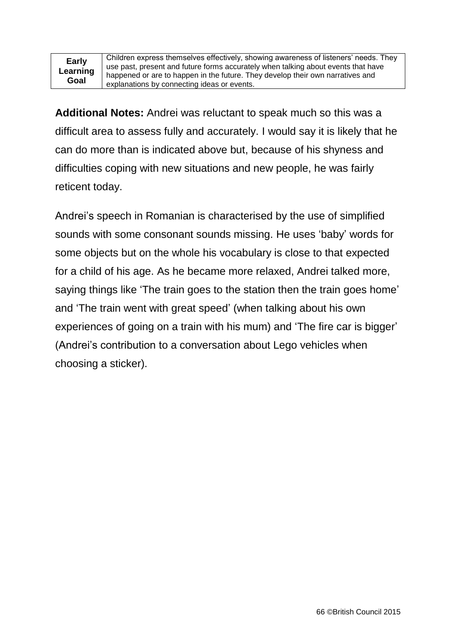Children express themselves effectively, showing awareness of listeners' needs. They use past, present and future forms accurately when talking about events that have happened or are to happen in the future. They develop their own narratives and explanations by connecting ideas or events.

**Additional Notes:** Andrei was reluctant to speak much so this was a difficult area to assess fully and accurately. I would say it is likely that he can do more than is indicated above but, because of his shyness and difficulties coping with new situations and new people, he was fairly reticent today.

Andrei's speech in Romanian is characterised by the use of simplified sounds with some consonant sounds missing. He uses 'baby' words for some objects but on the whole his vocabulary is close to that expected for a child of his age. As he became more relaxed, Andrei talked more, saying things like 'The train goes to the station then the train goes home' and 'The train went with great speed' (when talking about his own experiences of going on a train with his mum) and 'The fire car is bigger' (Andrei's contribution to a conversation about Lego vehicles when choosing a sticker).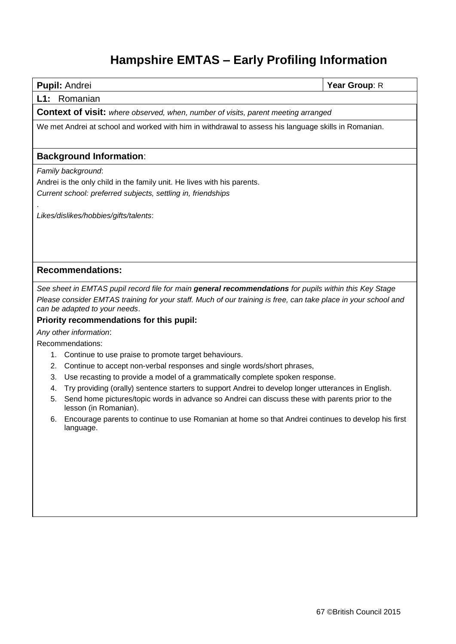## **Hampshire EMTAS – Early Profiling Information**

|    | <b>Pupil: Andrei</b>                                                                                                                            | Year Group: R |  |  |
|----|-------------------------------------------------------------------------------------------------------------------------------------------------|---------------|--|--|
|    | L1: Romanian                                                                                                                                    |               |  |  |
|    | <b>Context of visit:</b> where observed, when, number of visits, parent meeting arranged                                                        |               |  |  |
|    | We met Andrei at school and worked with him in withdrawal to assess his language skills in Romanian.                                            |               |  |  |
|    | <b>Background Information:</b>                                                                                                                  |               |  |  |
|    | Family background:                                                                                                                              |               |  |  |
|    | Andrei is the only child in the family unit. He lives with his parents.                                                                         |               |  |  |
|    | Current school: preferred subjects, settling in, friendships                                                                                    |               |  |  |
|    |                                                                                                                                                 |               |  |  |
|    | Likes/dislikes/hobbies/gifts/talents:                                                                                                           |               |  |  |
|    |                                                                                                                                                 |               |  |  |
|    |                                                                                                                                                 |               |  |  |
|    |                                                                                                                                                 |               |  |  |
|    | <b>Recommendations:</b>                                                                                                                         |               |  |  |
|    | See sheet in EMTAS pupil record file for main general recommendations for pupils within this Key Stage                                          |               |  |  |
|    | Please consider EMTAS training for your staff. Much of our training is free, can take place in your school and<br>can be adapted to your needs. |               |  |  |
|    | Priority recommendations for this pupil:                                                                                                        |               |  |  |
|    | Any other information:                                                                                                                          |               |  |  |
|    | Recommendations:                                                                                                                                |               |  |  |
|    | 1. Continue to use praise to promote target behaviours.                                                                                         |               |  |  |
| 2. | Continue to accept non-verbal responses and single words/short phrases,                                                                         |               |  |  |
| 3. | Use recasting to provide a model of a grammatically complete spoken response.                                                                   |               |  |  |
| 4. | Try providing (orally) sentence starters to support Andrei to develop longer utterances in English.                                             |               |  |  |
| 5. | Send home pictures/topic words in advance so Andrei can discuss these with parents prior to the<br>lesson (in Romanian).                        |               |  |  |
| 6. | Encourage parents to continue to use Romanian at home so that Andrei continues to develop his first<br>language.                                |               |  |  |
|    |                                                                                                                                                 |               |  |  |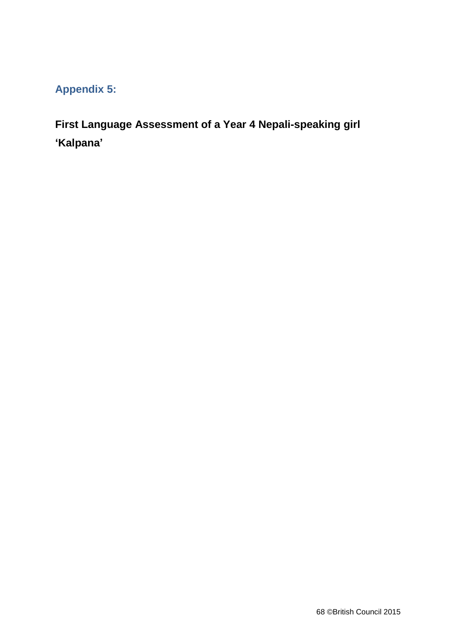### **Appendix 5:**

**First Language Assessment of a Year 4 Nepali-speaking girl 'Kalpana'**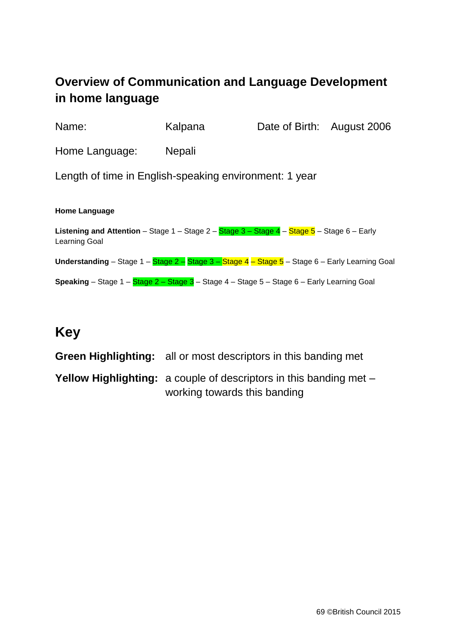### **Overview of Communication and Language Development in home language**

| Name:                                                                                                                         | Kalpana       | Date of Birth: August 2006 |  |
|-------------------------------------------------------------------------------------------------------------------------------|---------------|----------------------------|--|
| Home Language:                                                                                                                | <b>Nepali</b> |                            |  |
| Length of time in English-speaking environment: 1 year                                                                        |               |                            |  |
| <b>Home Language</b>                                                                                                          |               |                            |  |
| <b>Listening and Attention</b> – Stage $1$ – Stage $2$ – Stage $3$ – Stage $4$ – Stage $5$ – Stage 6 – Early<br>Learning Goal |               |                            |  |
| Understanding - Stage 1 - Stage 2 - Stage 3 - Stage 4 - Stage 5 - Stage 6 - Early Learning Goal                               |               |                            |  |
| Speaking - Stage 1 - Stage 2 - Stage 3 - Stage 4 - Stage 5 - Stage 6 - Early Learning Goal                                    |               |                            |  |
|                                                                                                                               |               |                            |  |

### **Key**

| <b>Green Highlighting:</b> all or most descriptors in this banding met    |
|---------------------------------------------------------------------------|
| <b>Yellow Highlighting:</b> a couple of descriptors in this banding met – |
| working towards this banding                                              |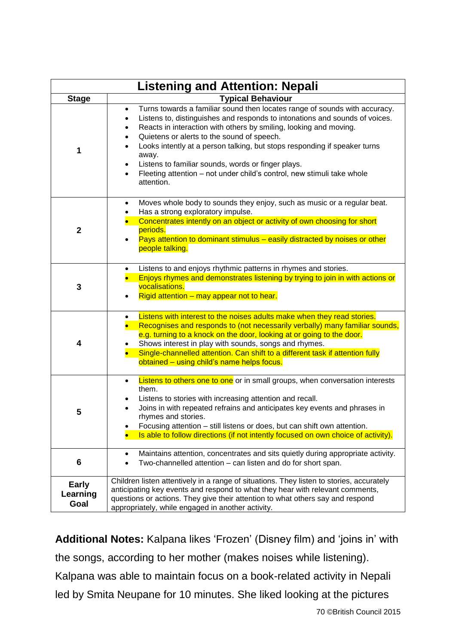|                           | <b>Listening and Attention: Nepali</b>                                                                                                                                                                                                                                                                                                                                                                                                                                                                                                                                                                      |
|---------------------------|-------------------------------------------------------------------------------------------------------------------------------------------------------------------------------------------------------------------------------------------------------------------------------------------------------------------------------------------------------------------------------------------------------------------------------------------------------------------------------------------------------------------------------------------------------------------------------------------------------------|
| <b>Stage</b>              | <b>Typical Behaviour</b>                                                                                                                                                                                                                                                                                                                                                                                                                                                                                                                                                                                    |
|                           | Turns towards a familiar sound then locates range of sounds with accuracy.<br>$\bullet$<br>Listens to, distinguishes and responds to intonations and sounds of voices.<br>$\bullet$<br>Reacts in interaction with others by smiling, looking and moving.<br>$\bullet$<br>Quietens or alerts to the sound of speech.<br>$\bullet$<br>Looks intently at a person talking, but stops responding if speaker turns<br>$\bullet$<br>away.<br>Listens to familiar sounds, words or finger plays.<br>$\bullet$<br>Fleeting attention - not under child's control, new stimuli take whole<br>$\bullet$<br>attention. |
| $\mathbf 2$               | Moves whole body to sounds they enjoy, such as music or a regular beat.<br>$\bullet$<br>Has a strong exploratory impulse.<br>$\bullet$<br>Concentrates intently on an object or activity of own choosing for short<br>periods.<br>Pays attention to dominant stimulus - easily distracted by noises or other<br>people talking.                                                                                                                                                                                                                                                                             |
| 3                         | Listens to and enjoys rhythmic patterns in rhymes and stories.<br>$\bullet$<br>Enjoys rhymes and demonstrates listening by trying to join in with actions or<br>vocalisations.<br>Rigid attention – may appear not to hear.<br>$\bullet$                                                                                                                                                                                                                                                                                                                                                                    |
| 4                         | Listens with interest to the noises adults make when they read stories.<br>$\bullet$<br>Recognises and responds to (not necessarily verbally) many familiar sounds,<br>e.g. turning to a knock on the door, looking at or going to the door.<br>Shows interest in play with sounds, songs and rhymes.<br>Single-channelled attention. Can shift to a different task if attention fully<br>obtained - using child's name helps focus.                                                                                                                                                                        |
| 5                         | Listens to others one to one or in small groups, when conversation interests<br>$\bullet$<br>them.<br>Listens to stories with increasing attention and recall.<br>$\bullet$<br>Joins in with repeated refrains and anticipates key events and phrases in<br>rhvmes and stories.<br>Focusing attention - still listens or does, but can shift own attention.<br>٠<br>Is able to follow directions (if not intently focused on own choice of activity).                                                                                                                                                       |
| 6                         | Maintains attention, concentrates and sits quietly during appropriate activity.<br>Two-channelled attention - can listen and do for short span.<br>$\bullet$                                                                                                                                                                                                                                                                                                                                                                                                                                                |
| Early<br>Learning<br>Goal | Children listen attentively in a range of situations. They listen to stories, accurately<br>anticipating key events and respond to what they hear with relevant comments,<br>questions or actions. They give their attention to what others say and respond<br>appropriately, while engaged in another activity.                                                                                                                                                                                                                                                                                            |

**Additional Notes:** Kalpana likes 'Frozen' (Disney film) and 'joins in' with the songs, according to her mother (makes noises while listening). Kalpana was able to maintain focus on a book-related activity in Nepali led by Smita Neupane for 10 minutes. She liked looking at the pictures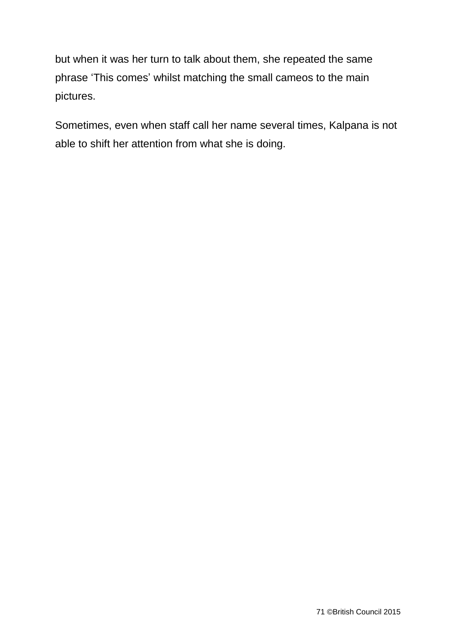but when it was her turn to talk about them, she repeated the same phrase 'This comes' whilst matching the small cameos to the main pictures.

Sometimes, even when staff call her name several times, Kalpana is not able to shift her attention from what she is doing.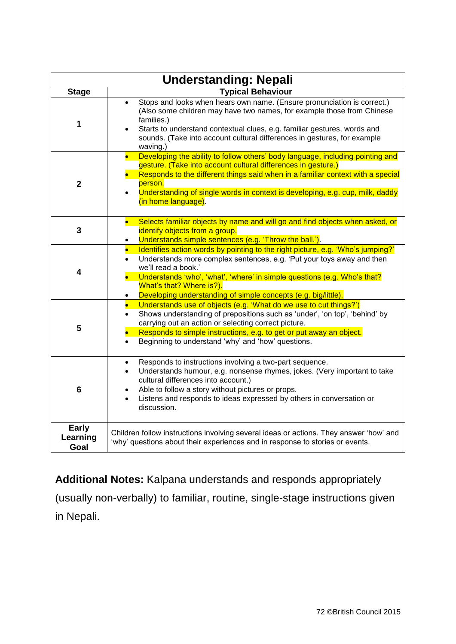| <b>Understanding: Nepali</b> |                                                                                                                                                                                                                                                                                                                                                                                     |  |
|------------------------------|-------------------------------------------------------------------------------------------------------------------------------------------------------------------------------------------------------------------------------------------------------------------------------------------------------------------------------------------------------------------------------------|--|
| <b>Stage</b>                 | <b>Typical Behaviour</b>                                                                                                                                                                                                                                                                                                                                                            |  |
| 1                            | Stops and looks when hears own name. (Ensure pronunciation is correct.)<br>$\bullet$<br>(Also some children may have two names, for example those from Chinese<br>families.)<br>Starts to understand contextual clues, e.g. familiar gestures, words and<br>sounds. (Take into account cultural differences in gestures, for example<br>waving.)                                    |  |
| $\mathbf 2$                  | Developing the ability to follow others' body language, including pointing and<br>$\bullet$<br>gesture. (Take into account cultural differences in gesture.)<br>Responds to the different things said when in a familiar context with a special<br>person.<br>Understanding of single words in context is developing, e.g. cup, milk, daddy<br>(in home language).                  |  |
| 3                            | Selects familiar objects by name and will go and find objects when asked, or<br>identify objects from a group.<br>Understands simple sentences (e.g. 'Throw the ball.').<br>$\bullet$                                                                                                                                                                                               |  |
| 4                            | Identifies action words by pointing to the right picture, e.g. 'Who's jumping?'<br>$\bullet$<br>Understands more complex sentences, e.g. 'Put your toys away and then<br>we'll read a book.'<br>Understands 'who', 'what', 'where' in simple questions (e.g. Who's that?<br>$\bullet$<br>What's that? Where is?).<br>Developing understanding of simple concepts (e.g. big/little). |  |
| 5                            | Understands use of objects (e.g. 'What do we use to cut things?')<br>$\bullet$<br>Shows understanding of prepositions such as 'under', 'on top', 'behind' by<br>$\bullet$<br>carrying out an action or selecting correct picture.<br>Responds to simple instructions, e.g. to get or put away an object.<br>Beginning to understand 'why' and 'how' questions.<br>$\bullet$         |  |
| 6                            | Responds to instructions involving a two-part sequence.<br>$\bullet$<br>Understands humour, e.g. nonsense rhymes, jokes. (Very important to take<br>$\bullet$<br>cultural differences into account.)<br>Able to follow a story without pictures or props.<br>$\bullet$<br>Listens and responds to ideas expressed by others in conversation or<br>discussion.                       |  |
| Early<br>Learning<br>Goal    | Children follow instructions involving several ideas or actions. They answer 'how' and<br>'why' questions about their experiences and in response to stories or events.                                                                                                                                                                                                             |  |

**Additional Notes:** Kalpana understands and responds appropriately (usually non-verbally) to familiar, routine, single-stage instructions given in Nepali.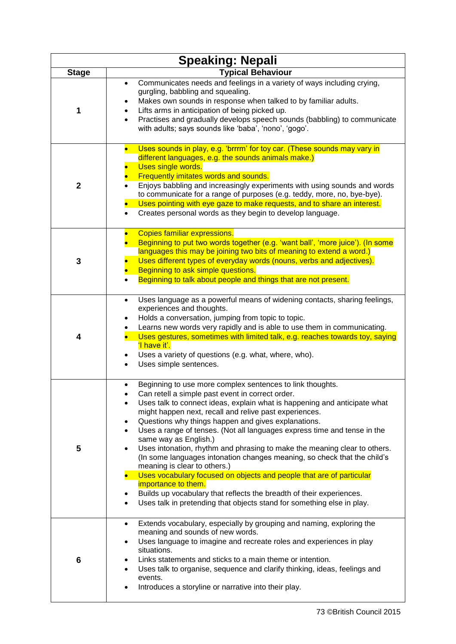| <b>Speaking: Nepali</b> |                                                                                                                                                                                                                                                                                                                                                                                                                                                                                                                                                                                                                                                                                                                                                                                                                                                                         |  |
|-------------------------|-------------------------------------------------------------------------------------------------------------------------------------------------------------------------------------------------------------------------------------------------------------------------------------------------------------------------------------------------------------------------------------------------------------------------------------------------------------------------------------------------------------------------------------------------------------------------------------------------------------------------------------------------------------------------------------------------------------------------------------------------------------------------------------------------------------------------------------------------------------------------|--|
| <b>Stage</b>            | <b>Typical Behaviour</b>                                                                                                                                                                                                                                                                                                                                                                                                                                                                                                                                                                                                                                                                                                                                                                                                                                                |  |
| 1                       | Communicates needs and feelings in a variety of ways including crying,<br>$\bullet$<br>gurgling, babbling and squealing.<br>Makes own sounds in response when talked to by familiar adults.<br>Lifts arms in anticipation of being picked up.<br>Practises and gradually develops speech sounds (babbling) to communicate<br>$\bullet$<br>with adults; says sounds like 'baba', 'nono', 'gogo'.                                                                                                                                                                                                                                                                                                                                                                                                                                                                         |  |
| $\mathbf 2$             | Uses sounds in play, e.g. 'brrrm' for toy car. (These sounds may vary in<br>different languages, e.g. the sounds animals make.)<br>Uses single words.<br>Frequently imitates words and sounds.<br>Enjoys babbling and increasingly experiments with using sounds and words<br>to communicate for a range of purposes (e.g. teddy, more, no, bye-bye).<br>Uses pointing with eye gaze to make requests, and to share an interest.<br>Creates personal words as they begin to develop language.                                                                                                                                                                                                                                                                                                                                                                           |  |
| 3                       | <b>Copies familiar expressions.</b><br>Beginning to put two words together (e.g. 'want ball', 'more juice'). (In some<br>languages this may be joining two bits of meaning to extend a word.)<br>Uses different types of everyday words (nouns, verbs and adjectives).<br>Beginning to ask simple questions.<br>Beginning to talk about people and things that are not present.                                                                                                                                                                                                                                                                                                                                                                                                                                                                                         |  |
| 4                       | Uses language as a powerful means of widening contacts, sharing feelings,<br>experiences and thoughts.<br>Holds a conversation, jumping from topic to topic.<br>Learns new words very rapidly and is able to use them in communicating.<br>Uses gestures, sometimes with limited talk, e.g. reaches towards toy, saying<br>'I have it'.<br>Uses a variety of questions (e.g. what, where, who).<br>Uses simple sentences.                                                                                                                                                                                                                                                                                                                                                                                                                                               |  |
| 5                       | Beginning to use more complex sentences to link thoughts.<br>Can retell a simple past event in correct order.<br>Uses talk to connect ideas, explain what is happening and anticipate what<br>might happen next, recall and relive past experiences.<br>Questions why things happen and gives explanations.<br>$\bullet$<br>Uses a range of tenses. (Not all languages express time and tense in the<br>same way as English.)<br>Uses intonation, rhythm and phrasing to make the meaning clear to others.<br>(In some languages intonation changes meaning, so check that the child's<br>meaning is clear to others.)<br>Uses vocabulary focused on objects and people that are of particular<br>importance to them.<br>Builds up vocabulary that reflects the breadth of their experiences.<br>Uses talk in pretending that objects stand for something else in play. |  |
| 6                       | Extends vocabulary, especially by grouping and naming, exploring the<br>$\bullet$<br>meaning and sounds of new words.<br>Uses language to imagine and recreate roles and experiences in play<br>$\bullet$<br>situations.<br>Links statements and sticks to a main theme or intention.<br>Uses talk to organise, sequence and clarify thinking, ideas, feelings and<br>events.<br>Introduces a storyline or narrative into their play.                                                                                                                                                                                                                                                                                                                                                                                                                                   |  |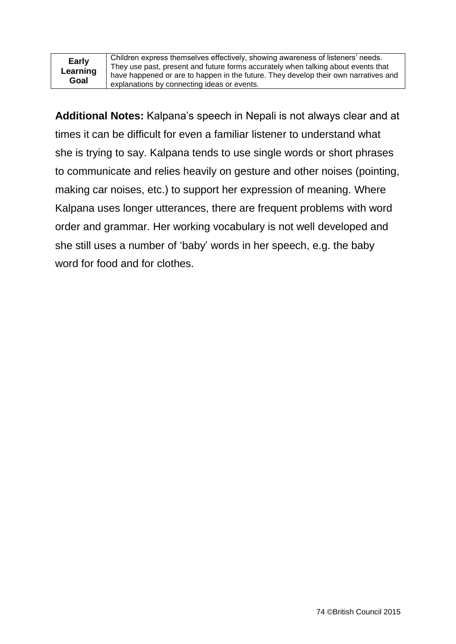**Early Learning Goal**

Children express themselves effectively, showing awareness of listeners' needs. They use past, present and future forms accurately when talking about events that have happened or are to happen in the future. They develop their own narratives and explanations by connecting ideas or events.

**Additional Notes:** Kalpana's speech in Nepali is not always clear and at times it can be difficult for even a familiar listener to understand what she is trying to say. Kalpana tends to use single words or short phrases to communicate and relies heavily on gesture and other noises (pointing, making car noises, etc.) to support her expression of meaning. Where Kalpana uses longer utterances, there are frequent problems with word order and grammar. Her working vocabulary is not well developed and she still uses a number of 'baby' words in her speech, e.g. the baby word for food and for clothes.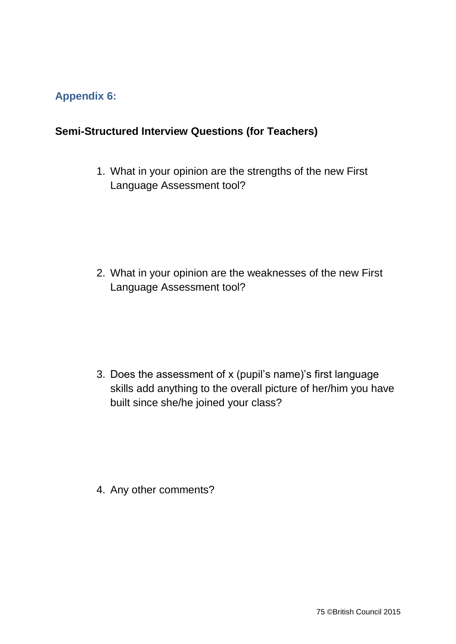## **Appendix 6:**

## **Semi-Structured Interview Questions (for Teachers)**

1. What in your opinion are the strengths of the new First Language Assessment tool?

2. What in your opinion are the weaknesses of the new First Language Assessment tool?

3. Does the assessment of x (pupil's name)'s first language skills add anything to the overall picture of her/him you have built since she/he joined your class?

4. Any other comments?